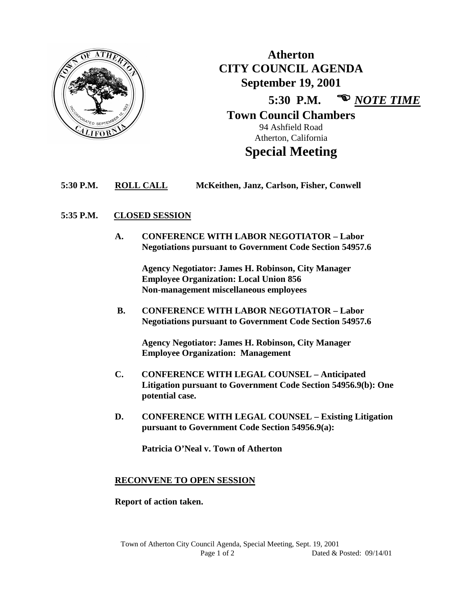

**Atherton CITY COUNCIL AGENDA September 19, 2001 5:30 P.M.**  *NOTE TIME* **Town Council Chambers** 94 Ashfield Road Atherton, California

# **Special Meeting**

# **5:30 P.M. ROLL CALL McKeithen, Janz, Carlson, Fisher, Conwell**

# **5:35 P.M. CLOSED SESSION**

**A. CONFERENCE WITH LABOR NEGOTIATOR – Labor Negotiations pursuant to Government Code Section 54957.6**

> **Agency Negotiator: James H. Robinson, City Manager Employee Organization: Local Union 856 Non-management miscellaneous employees**

 **B. CONFERENCE WITH LABOR NEGOTIATOR – Labor Negotiations pursuant to Government Code Section 54957.6**

**Agency Negotiator: James H. Robinson, City Manager Employee Organization: Management**

- **C. CONFERENCE WITH LEGAL COUNSEL – Anticipated Litigation pursuant to Government Code Section 54956.9(b): One potential case.**
- **D. CONFERENCE WITH LEGAL COUNSEL – Existing Litigation pursuant to Government Code Section 54956.9(a):**

**Patricia O'Neal v. Town of Atherton**

# **RECONVENE TO OPEN SESSION**

# **Report of action taken.**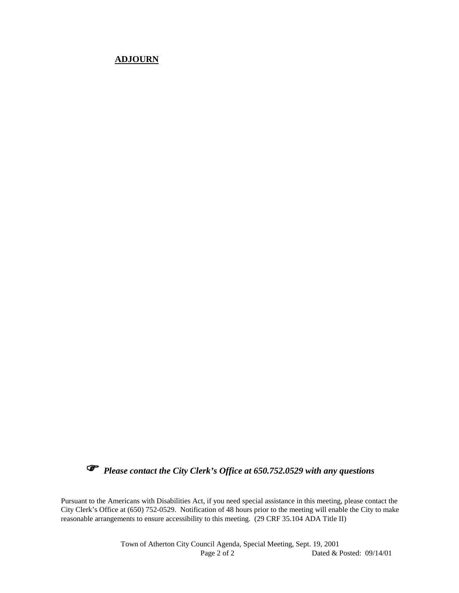# **ADJOURN**



*Please contact the City Clerk's Office at 650.752.0529 with any questions*

Pursuant to the Americans with Disabilities Act, if you need special assistance in this meeting, please contact the City Clerk's Office at (650) 752-0529. Notification of 48 hours prior to the meeting will enable the City to make reasonable arrangements to ensure accessibility to this meeting. (29 CRF 35.104 ADA Title II)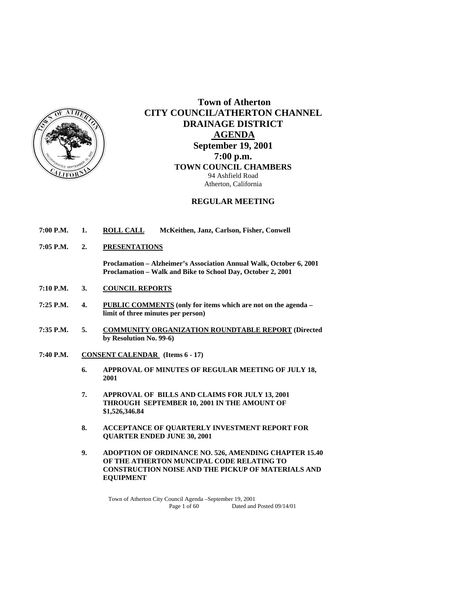

 **Town of Atherton CITY COUNCIL/ATHERTON CHANNEL DRAINAGE DISTRICT AGENDA September 19, 2001 7:00 p.m. TOWN COUNCIL CHAMBERS** 94 Ashfield Road Atherton, California

# **REGULAR MEETING**

- **7:00 P.M. 1. ROLL CALL McKeithen, Janz, Carlson, Fisher, Conwell**
- **7:05 P.M. 2. PRESENTATIONS**

 **Proclamation – Alzheimer's Association Annual Walk, October 6, 2001 Proclamation – Walk and Bike to School Day, October 2, 2001** 

- **7:10 P.M. 3. COUNCIL REPORTS**
- **7:25 P.M. 4. PUBLIC COMMENTS (only for items which are not on the agenda limit of three minutes per person)**
- **7:35 P.M. 5. COMMUNITY ORGANIZATION ROUNDTABLE REPORT (Directed by Resolution No. 99-6)**
- **7:40 P.M. CONSENT CALENDAR (Items 6 17)** 
	- **6. APPROVAL OF MINUTES OF REGULAR MEETING OF JULY 18, 2001**
	- **7. APPROVAL OF BILLS AND CLAIMS FOR JULY 13, 2001 THROUGH SEPTEMBER 10, 2001 IN THE AMOUNT OF \$1,526,346.84**
	- **8. ACCEPTANCE OF QUARTERLY INVESTMENT REPORT FOR QUARTER ENDED JUNE 30, 2001**
	- **9. ADOPTION OF ORDINANCE NO. 526, AMENDING CHAPTER 15.40 OF THE ATHERTON MUNCIPAL CODE RELATING TO CONSTRUCTION NOISE AND THE PICKUP OF MATERIALS AND EQUIPMENT**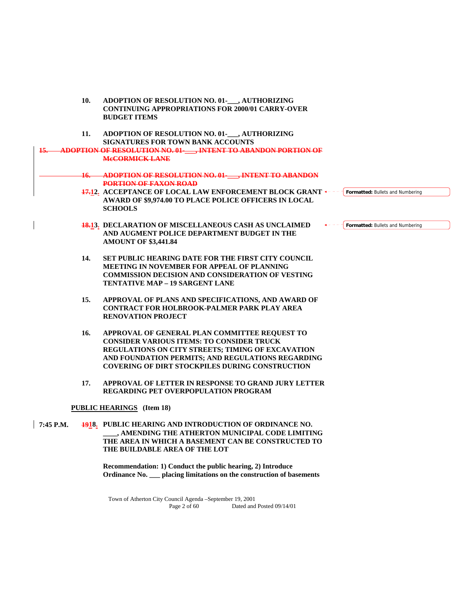|                | 10. | ADOPTION OF RESOLUTION NO. 01-___, AUTHORIZING<br><b>CONTINUING APPROPRIATIONS FOR 2000/01 CARRY-OVER</b><br><b>BUDGET ITEMS</b>                                                                                                                                      |                                  |
|----------------|-----|-----------------------------------------------------------------------------------------------------------------------------------------------------------------------------------------------------------------------------------------------------------------------|----------------------------------|
|                | 11. | ADOPTION OF RESOLUTION NO. 01-___, AUTHORIZING<br><b>SIGNATURES FOR TOWN BANK ACCOUNTS</b>                                                                                                                                                                            |                                  |
| <u> 15. - </u> |     | ADOPTION OF RESOLUTION NO. 01- TINTENT TO ABANDON PORTION OF<br><b>MeCORMICK LANE</b>                                                                                                                                                                                 |                                  |
|                |     | 16. ADOPTION OF RESOLUTION NO. 01- , INTENT TO ABANDON<br><b>PORTION OF FAXON ROAD</b>                                                                                                                                                                                |                                  |
|                |     | 17.12. ACCEPTANCE OF LOCAL LAW ENFORCEMENT BLOCK GRANT +---<br>AWARD OF \$9,974.00 TO PLACE POLICE OFFICERS IN LOCAL<br><b>SCHOOLS</b>                                                                                                                                | Formatted: Bullets and Numbering |
|                |     | <b>18.13. DECLARATION OF MISCELLANEOUS CASH AS UNCLAIMED</b><br>AND AUGMENT POLICE DEPARTMENT BUDGET IN THE<br><b>AMOUNT OF \$3,441.84</b>                                                                                                                            | Formatted: Bullets and Numbering |
|                | 14. | <b>SET PUBLIC HEARING DATE FOR THE FIRST CITY COUNCIL</b><br><b>MEETING IN NOVEMBER FOR APPEAL OF PLANNING</b><br>COMMISSION DECISION AND CONSIDERATION OF VESTING<br><b>TENTATIVE MAP - 19 SARGENT LANE</b>                                                          |                                  |
|                | 15. | APPROVAL OF PLANS AND SPECIFICATIONS, AND AWARD OF<br><b>CONTRACT FOR HOLBROOK-PALMER PARK PLAY AREA</b><br><b>RENOVATION PROJECT</b>                                                                                                                                 |                                  |
|                | 16. | APPROVAL OF GENERAL PLAN COMMITTEE REQUEST TO<br><b>CONSIDER VARIOUS ITEMS: TO CONSIDER TRUCK</b><br>REGULATIONS ON CITY STREETS; TIMING OF EXCAVATION<br>AND FOUNDATION PERMITS; AND REGULATIONS REGARDING<br><b>COVERING OF DIRT STOCKPILES DURING CONSTRUCTION</b> |                                  |
|                | 17. | APPROVAL OF LETTER IN RESPONSE TO GRAND JURY LETTER<br><b>REGARDING PET OVERPOPULATION PROGRAM</b>                                                                                                                                                                    |                                  |
|                |     | <b>PUBLIC HEARINGS</b> (Item 18)                                                                                                                                                                                                                                      |                                  |
| 7:45 P.M.      |     | <b>1918.</b> PUBLIC HEARING AND INTRODUCTION OF ORDINANCE NO.<br>, AMENDING THE ATHERTON MUNICIPAL CODE LIMITING<br>THE AREA IN WHICH A BASEMENT CAN BE CONSTRUCTED TO<br>THE BUILDABLE AREA OF THE LOT                                                               |                                  |

 **Recommendation: 1) Conduct the public hearing, 2) Introduce Ordinance No. \_\_\_ placing limitations on the construction of basements**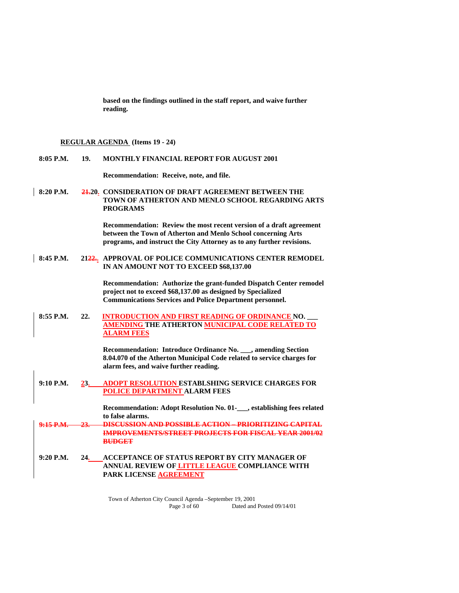**based on the findings outlined in the staff report, and waive further reading.** 

# **REGULAR AGENDA (Items 19 - 24)**

| 8:05 P.M.   | 19. | <b>MONTHLY FINANCIAL REPORT FOR AUGUST 2001</b>                                                                                                                                                               |
|-------------|-----|---------------------------------------------------------------------------------------------------------------------------------------------------------------------------------------------------------------|
|             |     | Recommendation: Receive, note, and file.                                                                                                                                                                      |
| $8:20$ P.M. |     | 21.20. CONSIDERATION OF DRAFT AGREEMENT BETWEEN THE<br>TOWN OF ATHERTON AND MENLO SCHOOL REGARDING ARTS<br><b>PROGRAMS</b>                                                                                    |
|             |     | Recommendation: Review the most recent version of a draft agreement<br>between the Town of Atherton and Menlo School concerning Arts<br>programs, and instruct the City Attorney as to any further revisions. |
| 8:45 P.M.   |     | 2122. APPROVAL OF POLICE COMMUNICATIONS CENTER REMODEL<br>IN AN AMOUNT NOT TO EXCEED \$68,137.00                                                                                                              |
|             |     | Recommendation: Authorize the grant-funded Dispatch Center remodel<br>project not to exceed \$68,137.00 as designed by Specialized<br><b>Communications Services and Police Department personnel.</b>         |
| 8:55 P.M.   | 22. | <b>INTRODUCTION AND FIRST READING OF ORDINANCE NO.</b><br><b>AMENDING THE ATHERTON MUNICIPAL CODE RELATED TO</b><br><b>ALARM FEES</b>                                                                         |
|             |     | Recommendation: Introduce Ordinance No. ___, amending Section<br>8.04.070 of the Atherton Municipal Code related to service charges for<br>alarm fees, and waive further reading.                             |
| 9:10 P.M.   | 23. | <b>ADOPT RESOLUTION ESTABLSHING SERVICE CHARGES FOR</b><br>POLICE DEPARTMENT ALARM FEES                                                                                                                       |
|             |     | Recommendation: Adopt Resolution No. 01-<br>___, establishing fees related<br>to false alarms.                                                                                                                |
| 9.15 P.M    |     | DISCUSSION AND POSSIBLE ACTION - PRIORITIZING CAPITAL<br><b>IMPROVEMENTS/STREET PROJECTS FOR FISCAL YEAR 2001/02</b><br><b>BUDGET</b>                                                                         |
| $9:20$ P.M. | 24. | ACCEPTANCE OF STATUS REPORT BY CITY MANAGER OF<br>ANNUAL REVIEW OF LITTLE LEAGUE COMPLIANCE WITH<br>PARK LICENSE AGREEMENT                                                                                    |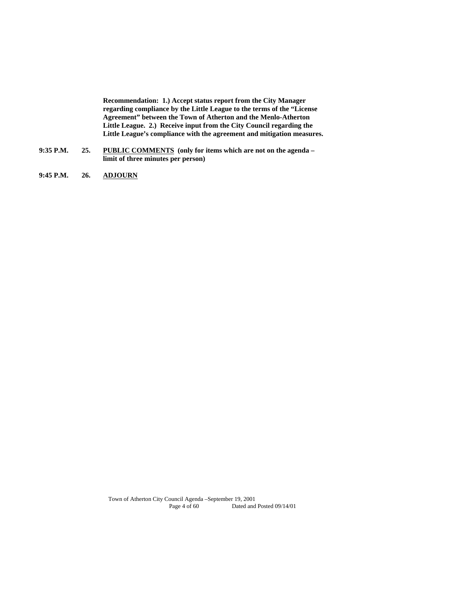**Recommendation: 1.) Accept status report from the City Manager regarding compliance by the Little League to the terms of the "License Agreement" between the Town of Atherton and the Menlo-Atherton Little League. 2.) Receive input from the City Council regarding the Little League's compliance with the agreement and mitigation measures.** 

- **9:35 P.M. 25. PUBLIC COMMENTS (only for items which are not on the agenda limit of three minutes per person)**
- **9:45 P.M. 26. ADJOURN**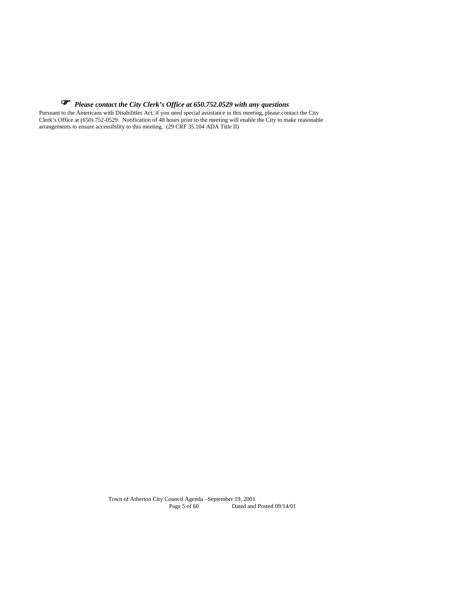# *Please contact the City Clerk's Office at 650.752.0529 with any questions*

Pursuant to the Americans with Disabilities Act, if you need special assistance in this meeting, please contact the City Clerk's Office at (650) 752-0529. Notification of 48 hours prior to the meeting will enable the City to make reasonable arrangements to ensure accessibility to this meeting. (29 CRF 35.104 ADA Title II)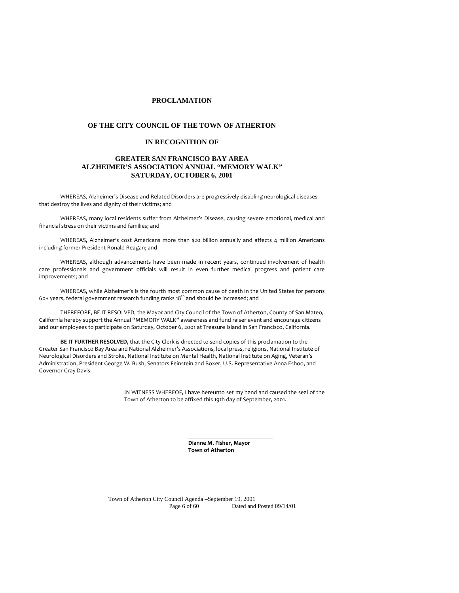#### **PROCLAMATION**

#### **OF THE CITY COUNCIL OF THE TOWN OF ATHERTON**

#### **IN RECOGNITION OF**

## **GREATER SAN FRANCISCO BAY AREA ALZHEIMER'S ASSOCIATION ANNUAL "MEMORY WALK" SATURDAY, OCTOBER 6, 2001**

WHEREAS, Alzheimer's Disease and Related Disorders are progressively disabling neurological diseases that destroy the lives and dignity of their victims; and

WHEREAS, many local residents suffer from Alzheimer's Disease, causing severe emotional, medical and financial stress on their victims and families; and

WHEREAS, Alzheimer's cost Americans more than \$20 billion annually and affects 4 million Americans including former President Ronald Reagan; and

WHEREAS, although advancements have been made in recent years, continued involvement of health care professionals and government officials will result in even further medical progress and patient care improvements; and

WHEREAS, while Alzheimer's is the fourth most common cause of death in the United States for persons 60+ years, federal government research funding ranks  $18<sup>th</sup>$  and should be increased; and

THEREFORE, BE IT RESOLVED, the Mayor and City Council of the Town of Atherton, County of San Mateo, California hereby support the Annual "MEMORY WALK" awareness and fund raiser event and encourage citizens and our employees to participate on Saturday, October 6, 2001 at Treasure Island in San Francisco, California.

**BE IT FURTHER RESOLVED,** that the City Clerk is directed to send copies of this proclamation to the Greater San Francisco Bay Area and National Alzheimer's Associations, local press, religions, National Institute of Neurological Disorders and Stroke, National Institute on Mental Health, National Institute on Aging, Veteran's Administration, President George W. Bush, Senators Feinstein and Boxer, U.S. Representative Anna Eshoo, and Governor Gray Davis.

> IN WITNESS WHEREOF, I have hereunto set my hand and caused the seal of the Town of Atherton to be affixed this 19th day of September, 2001.

> > **Dianne M. Fisher, Mayor Town of Atherton**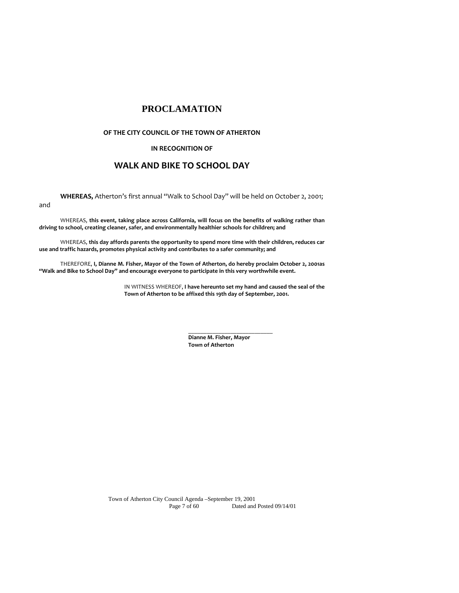# **PROCLAMATION**

#### **OF THE CITY COUNCIL OF THE TOWN OF ATHERTON**

## **IN RECOGNITION OF**

# **WALK AND BIKE TO SCHOOL DAY**

**WHEREAS,** Atherton's first annual "Walk to School Day" will be held on October 2, 2001;

and

WHEREAS, **this event, taking place across California, will focus on the benefits of walking rather than driving to school, creating cleaner, safer, and environmentally healthier schools for children; and**

WHEREAS, **this day affords parents the opportunity to spend more time with their children, reduces car use and traffic hazards, promotes physical activity and contributes to a safer community; and**

THEREFORE, **I, Dianne M. Fisher, Mayor of the Town of Atherton, do hereby proclaim October 2, 2001as "Walk and Bike to School Day" and encourage everyone to participate in this very worthwhile event.** 

 $\overline{\phantom{a}}$  , and the contract of the contract of the contract of the contract of the contract of the contract of the contract of the contract of the contract of the contract of the contract of the contract of the contrac

IN WITNESS WHEREOF, **I have hereunto set my hand and caused the seal of the Town of Atherton to be affixed this 19th day of September, 2001.**

> **Dianne M. Fisher, Mayor Town of Atherton**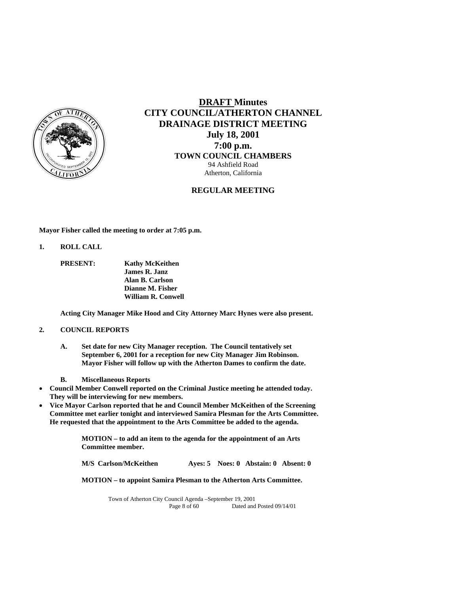

# **DRAFT Minutes CITY COUNCIL/ATHERTON CHANNEL DRAINAGE DISTRICT MEETING July 18, 2001 7:00 p.m. TOWN COUNCIL CHAMBERS** 94 Ashfield Road Atherton, California

## **REGULAR MEETING**

**Mayor Fisher called the meeting to order at 7:05 p.m.** 

**1. ROLL CALL** 

 **PRESENT: Kathy McKeithen James R. Janz Alan B. Carlson Dianne M. Fisher William R. Conwell** 

**Acting City Manager Mike Hood and City Attorney Marc Hynes were also present.** 

#### **2. COUNCIL REPORTS**

- **A. Set date for new City Manager reception. The Council tentatively set September 6, 2001 for a reception for new City Manager Jim Robinson. Mayor Fisher will follow up with the Atherton Dames to confirm the date.**
- **B. Miscellaneous Reports**
- **Council Member Conwell reported on the Criminal Justice meeting he attended today. They will be interviewing for new members.**
- **Vice Mayor Carlson reported that he and Council Member McKeithen of the Screening Committee met earlier tonight and interviewed Samira Plesman for the Arts Committee. He requested that the appointment to the Arts Committee be added to the agenda.**

**MOTION – to add an item to the agenda for the appointment of an Arts Committee member.** 

**M/S Carlson/McKeithen Ayes: 5 Noes: 0 Abstain: 0 Absent: 0** 

**MOTION – to appoint Samira Plesman to the Atherton Arts Committee.**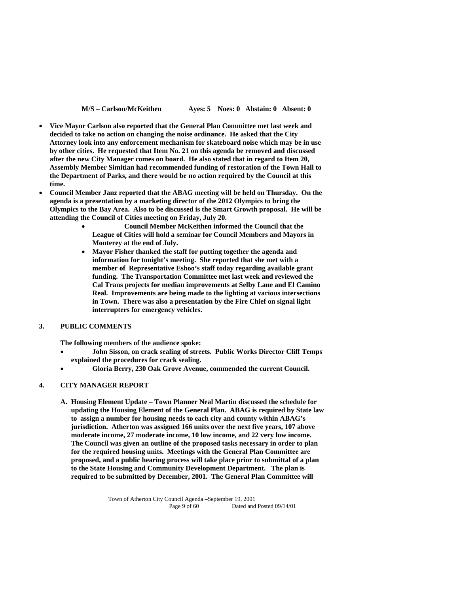**M/S – Carlson/McKeithen Ayes: 5 Noes: 0 Abstain: 0 Absent: 0** 

- **Vice Mayor Carlson also reported that the General Plan Committee met last week and decided to take no action on changing the noise ordinance. He asked that the City Attorney look into any enforcement mechanism for skateboard noise which may be in use by other cities. He requested that Item No. 21 on this agenda be removed and discussed after the new City Manager comes on board. He also stated that in regard to Item 20, Assembly Member Simitian had recommended funding of restoration of the Town Hall to the Department of Parks, and there would be no action required by the Council at this time.**
- **Council Member Janz reported that the ABAG meeting will be held on Thursday. On the agenda is a presentation by a marketing director of the 2012 Olympics to bring the Olympics to the Bay Area. Also to be discussed is the Smart Growth proposal. He will be attending the Council of Cities meeting on Friday, July 20.** 
	- **Council Member McKeithen informed the Council that the League of Cities will hold a seminar for Council Members and Mayors in Monterey at the end of July.**
	- **Mayor Fisher thanked the staff for putting together the agenda and information for tonight's meeting. She reported that she met with a member of Representative Eshoo's staff today regarding available grant funding. The Transportation Committee met last week and reviewed the Cal Trans projects for median improvements at Selby Lane and El Camino Real. Improvements are being made to the lighting at various intersections in Town. There was also a presentation by the Fire Chief on signal light interrupters for emergency vehicles.**

#### **3. PUBLIC COMMENTS**

**The following members of the audience spoke:** 

- **John Sisson, on crack sealing of streets. Public Works Director Cliff Temps explained the procedures for crack sealing.**
- **Gloria Berry, 230 Oak Grove Avenue, commended the current Council.**

#### **4. CITY MANAGER REPORT**

**A. Housing Element Update – Town Planner Neal Martin discussed the schedule for updating the Housing Element of the General Plan. ABAG is required by State law to assign a number for housing needs to each city and county within ABAG's jurisdiction. Atherton was assigned 166 units over the next five years, 107 above moderate income, 27 moderate income, 10 low income, and 22 very low income. The Council was given an outline of the proposed tasks necessary in order to plan for the required housing units. Meetings with the General Plan Committee are proposed, and a public hearing process will take place prior to submittal of a plan to the State Housing and Community Development Department. The plan is required to be submitted by December, 2001. The General Plan Committee will**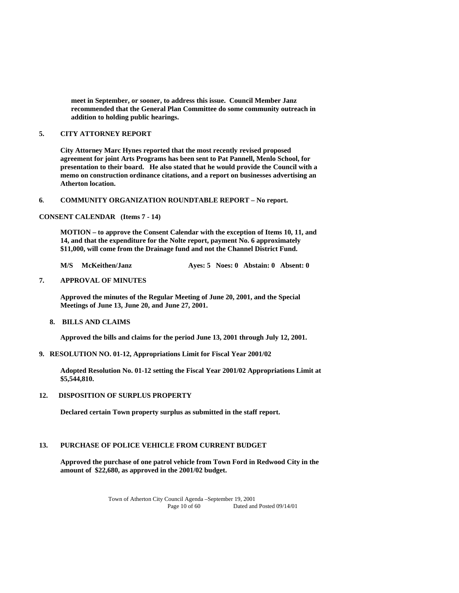**meet in September, or sooner, to address this issue. Council Member Janz recommended that the General Plan Committee do some community outreach in addition to holding public hearings.** 

#### **5. CITY ATTORNEY REPORT**

**City Attorney Marc Hynes reported that the most recently revised proposed agreement for joint Arts Programs has been sent to Pat Pannell, Menlo School, for presentation to their board. He also stated that he would provide the Council with a memo on construction ordinance citations, and a report on businesses advertising an Atherton location.** 

#### **6. COMMUNITY ORGANIZATION ROUNDTABLE REPORT – No report.**

#### **CONSENT CALENDAR (Items 7 - 14)**

**MOTION – to approve the Consent Calendar with the exception of Items 10, 11, and 14, and that the expenditure for the Nolte report, payment No. 6 approximately \$11,000, will come from the Drainage fund and not the Channel District Fund.** 

**M/S McKeithen/Janz Ayes: 5 Noes: 0 Abstain: 0 Absent: 0** 

#### **7. APPROVAL OF MINUTES**

**Approved the minutes of the Regular Meeting of June 20, 2001, and the Special Meetings of June 13, June 20, and June 27, 2001.** 

**8. BILLS AND CLAIMS** 

**Approved the bills and claims for the period June 13, 2001 through July 12, 2001.** 

**9. RESOLUTION NO. 01-12, Appropriations Limit for Fiscal Year 2001/02** 

 **Adopted Resolution No. 01-12 setting the Fiscal Year 2001/02 Appropriations Limit at \$5,544,810.** 

#### **12. DISPOSITION OF SURPLUS PROPERTY**

 **Declared certain Town property surplus as submitted in the staff report.** 

# **13. PURCHASE OF POLICE VEHICLE FROM CURRENT BUDGET**

 **Approved the purchase of one patrol vehicle from Town Ford in Redwood City in the amount of \$22,680, as approved in the 2001/02 budget.**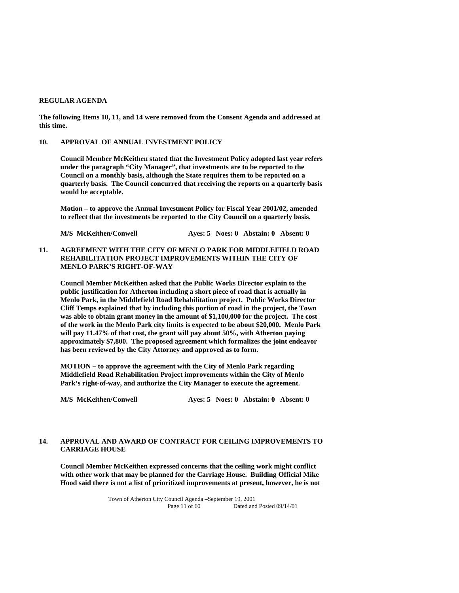#### **REGULAR AGENDA**

**The following Items 10, 11, and 14 were removed from the Consent Agenda and addressed at this time.** 

#### **10. APPROVAL OF ANNUAL INVESTMENT POLICY**

 **Council Member McKeithen stated that the Investment Policy adopted last year refers under the paragraph "City Manager", that investments are to be reported to the Council on a monthly basis, although the State requires them to be reported on a quarterly basis. The Council concurred that receiving the reports on a quarterly basis would be acceptable.** 

**Motion – to approve the Annual Investment Policy for Fiscal Year 2001/02, amended to reflect that the investments be reported to the City Council on a quarterly basis.** 

**M/S McKeithen/Conwell Ayes: 5 Noes: 0 Abstain: 0 Absent: 0** 

#### **11. AGREEMENT WITH THE CITY OF MENLO PARK FOR MIDDLEFIELD ROAD REHABILITATION PROJECT IMPROVEMENTS WITHIN THE CITY OF MENLO PARK'S RIGHT-OF-WAY**

 **Council Member McKeithen asked that the Public Works Director explain to the public justification for Atherton including a short piece of road that is actually in Menlo Park, in the Middlefield Road Rehabilitation project. Public Works Director Cliff Temps explained that by including this portion of road in the project, the Town was able to obtain grant money in the amount of \$1,100,000 for the project. The cost of the work in the Menlo Park city limits is expected to be about \$20,000. Menlo Park will pay 11.47% of that cost, the grant will pay about 50%, with Atherton paying approximately \$7,800. The proposed agreement which formalizes the joint endeavor has been reviewed by the City Attorney and approved as to form.** 

**MOTION – to approve the agreement with the City of Menlo Park regarding Middlefield Road Rehabilitation Project improvements within the City of Menlo Park's right-of-way, and authorize the City Manager to execute the agreement.** 

**M/S McKeithen/Conwell Ayes: 5 Noes: 0 Abstain: 0 Absent: 0** 

# **14. APPROVAL AND AWARD OF CONTRACT FOR CEILING IMPROVEMENTS TO CARRIAGE HOUSE**

**Council Member McKeithen expressed concerns that the ceiling work might conflict with other work that may be planned for the Carriage House. Building Official Mike Hood said there is not a list of prioritized improvements at present, however, he is not**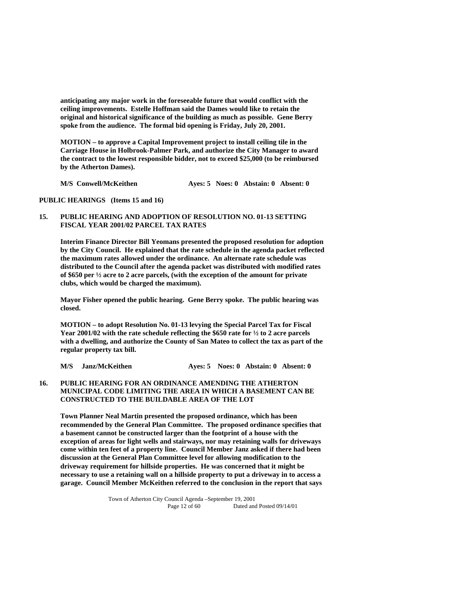**anticipating any major work in the foreseeable future that would conflict with the ceiling improvements. Estelle Hoffman said the Dames would like to retain the original and historical significance of the building as much as possible. Gene Berry spoke from the audience. The formal bid opening is Friday, July 20, 2001.** 

**MOTION – to approve a Capital Improvement project to install ceiling tile in the Carriage House in Holbrook-Palmer Park, and authorize the City Manager to award the contract to the lowest responsible bidder, not to exceed \$25,000 (to be reimbursed by the Atherton Dames).** 

**M/S Conwell/McKeithen Ayes: 5 Noes: 0 Abstain: 0 Absent: 0** 

#### **PUBLIC HEARINGS (Items 15 and 16)**

#### **15. PUBLIC HEARING AND ADOPTION OF RESOLUTION NO. 01-13 SETTING FISCAL YEAR 2001/02 PARCEL TAX RATES**

 **Interim Finance Director Bill Yeomans presented the proposed resolution for adoption by the City Council. He explained that the rate schedule in the agenda packet reflected the maximum rates allowed under the ordinance. An alternate rate schedule was distributed to the Council after the agenda packet was distributed with modified rates of \$650 per ½ acre to 2 acre parcels, (with the exception of the amount for private clubs, which would be charged the maximum).** 

**Mayor Fisher opened the public hearing. Gene Berry spoke. The public hearing was closed.** 

 **MOTION – to adopt Resolution No. 01-13 levying the Special Parcel Tax for Fiscal Year 2001/02 with the rate schedule reflecting the \$650 rate for ½ to 2 acre parcels with a dwelling, and authorize the County of San Mateo to collect the tax as part of the regular property tax bill.** 

 **M/S Janz/McKeithen Ayes: 5 Noes: 0 Abstain: 0 Absent: 0** 

## **16. PUBLIC HEARING FOR AN ORDINANCE AMENDING THE ATHERTON MUNICIPAL CODE LIMITING THE AREA IN WHICH A BASEMENT CAN BE CONSTRUCTED TO THE BUILDABLE AREA OF THE LOT**

 **Town Planner Neal Martin presented the proposed ordinance, which has been recommended by the General Plan Committee. The proposed ordinance specifies that a basement cannot be constructed larger than the footprint of a house with the exception of areas for light wells and stairways, nor may retaining walls for driveways come within ten feet of a property line. Council Member Janz asked if there had been discussion at the General Plan Committee level for allowing modification to the driveway requirement for hillside properties. He was concerned that it might be necessary to use a retaining wall on a hillside property to put a driveway in to access a garage. Council Member McKeithen referred to the conclusion in the report that says**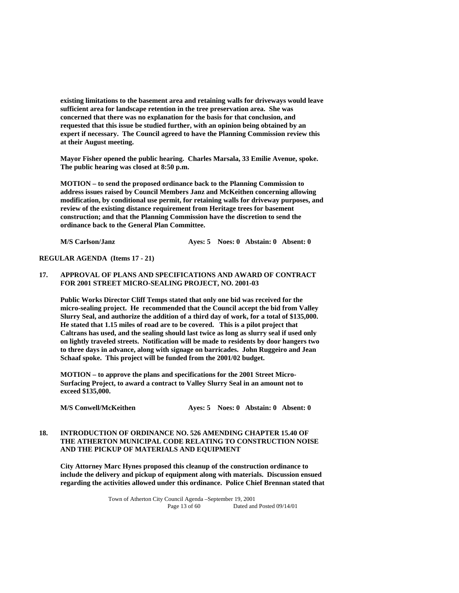**existing limitations to the basement area and retaining walls for driveways would leave sufficient area for landscape retention in the tree preservation area. She was concerned that there was no explanation for the basis for that conclusion, and requested that this issue be studied further, with an opinion being obtained by an expert if necessary. The Council agreed to have the Planning Commission review this at their August meeting.** 

 **Mayor Fisher opened the public hearing. Charles Marsala, 33 Emilie Avenue, spoke. The public hearing was closed at 8:50 p.m.** 

 **MOTION – to send the proposed ordinance back to the Planning Commission to address issues raised by Council Members Janz and McKeithen concerning allowing modification, by conditional use permit, for retaining walls for driveway purposes, and review of the existing distance requirement from Heritage trees for basement construction; and that the Planning Commission have the discretion to send the ordinance back to the General Plan Committee.** 

 **M/S Carlson/Janz Ayes: 5 Noes: 0 Abstain: 0 Absent: 0** 

**REGULAR AGENDA (Items 17 - 21)** 

#### **17. APPROVAL OF PLANS AND SPECIFICATIONS AND AWARD OF CONTRACT FOR 2001 STREET MICRO-SEALING PROJECT, NO. 2001-03**

 **Public Works Director Cliff Temps stated that only one bid was received for the micro-sealing project. He recommended that the Council accept the bid from Valley Slurry Seal, and authorize the addition of a third day of work, for a total of \$135,000. He stated that 1.15 miles of road are to be covered. This is a pilot project that Caltrans has used, and the sealing should last twice as long as slurry seal if used only on lightly traveled streets. Notification will be made to residents by door hangers two to three days in advance, along with signage on barricades. John Ruggeiro and Jean Schaaf spoke. This project will be funded from the 2001/02 budget.** 

 **MOTION – to approve the plans and specifications for the 2001 Street Micro-Surfacing Project, to award a contract to Valley Slurry Seal in an amount not to exceed \$135,000.** 

**M/S Conwell/McKeithen Ayes: 5 Noes: 0 Abstain: 0 Absent: 0** 

## **18. INTRODUCTION OF ORDINANCE NO. 526 AMENDING CHAPTER 15.40 OF THE ATHERTON MUNICIPAL CODE RELATING TO CONSTRUCTION NOISE AND THE PICKUP OF MATERIALS AND EQUIPMENT**

**City Attorney Marc Hynes proposed this cleanup of the construction ordinance to include the delivery and pickup of equipment along with materials. Discussion ensued regarding the activities allowed under this ordinance. Police Chief Brennan stated that**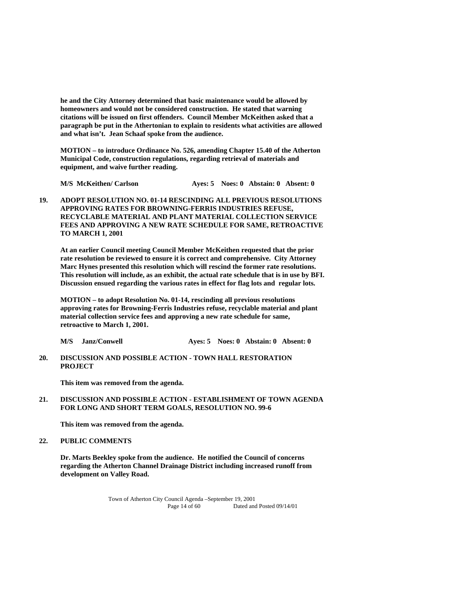**he and the City Attorney determined that basic maintenance would be allowed by homeowners and would not be considered construction. He stated that warning citations will be issued on first offenders. Council Member McKeithen asked that a paragraph be put in the Athertonian to explain to residents what activities are allowed and what isn't. Jean Schaaf spoke from the audience.** 

**MOTION – to introduce Ordinance No. 526, amending Chapter 15.40 of the Atherton Municipal Code, construction regulations, regarding retrieval of materials and equipment, and waive further reading.** 

 **M/S McKeithen/ Carlson Ayes: 5 Noes: 0 Abstain: 0 Absent: 0** 

**19. ADOPT RESOLUTION NO. 01-14 RESCINDING ALL PREVIOUS RESOLUTIONS APPROVING RATES FOR BROWNING-FERRIS INDUSTRIES REFUSE, RECYCLABLE MATERIAL AND PLANT MATERIAL COLLECTION SERVICE FEES AND APPROVING A NEW RATE SCHEDULE FOR SAME, RETROACTIVE TO MARCH 1, 2001** 

 **At an earlier Council meeting Council Member McKeithen requested that the prior rate resolution be reviewed to ensure it is correct and comprehensive. City Attorney Marc Hynes presented this resolution which will rescind the former rate resolutions. This resolution will include, as an exhibit, the actual rate schedule that is in use by BFI. Discussion ensued regarding the various rates in effect for flag lots and regular lots.** 

 **MOTION – to adopt Resolution No. 01-14, rescinding all previous resolutions approving rates for Browning-Ferris Industries refuse, recyclable material and plant material collection service fees and approving a new rate schedule for same, retroactive to March 1, 2001.** 

- **M/S Janz/Conwell Ayes: 5 Noes: 0 Abstain: 0 Absent: 0**
- **20. DISCUSSION AND POSSIBLE ACTION TOWN HALL RESTORATION PROJECT**

 **This item was removed from the agenda.** 

# **21. DISCUSSION AND POSSIBLE ACTION - ESTABLISHMENT OF TOWN AGENDA FOR LONG AND SHORT TERM GOALS, RESOLUTION NO. 99-6**

 **This item was removed from the agenda.** 

#### **22. PUBLIC COMMENTS**

**Dr. Marts Beekley spoke from the audience. He notified the Council of concerns regarding the Atherton Channel Drainage District including increased runoff from development on Valley Road.**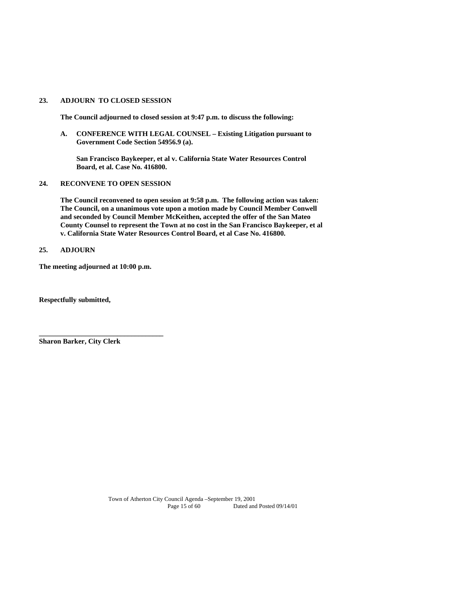#### **23. ADJOURN TO CLOSED SESSION**

**The Council adjourned to closed session at 9:47 p.m. to discuss the following:** 

 **A. CONFERENCE WITH LEGAL COUNSEL – Existing Litigation pursuant to Government Code Section 54956.9 (a).** 

 **San Francisco Baykeeper, et al v. California State Water Resources Control Board, et al. Case No. 416800.** 

#### **24. RECONVENE TO OPEN SESSION**

 **The Council reconvened to open session at 9:58 p.m. The following action was taken: The Council, on a unanimous vote upon a motion made by Council Member Conwell and seconded by Council Member McKeithen, accepted the offer of the San Mateo County Counsel to represent the Town at no cost in the San Francisco Baykeeper, et al v. California State Water Resources Control Board, et al Case No. 416800.** 

#### **25. ADJOURN**

**The meeting adjourned at 10:00 p.m.** 

**\_\_\_\_\_\_\_\_\_\_\_\_\_\_\_\_\_\_\_\_\_\_\_\_\_\_\_\_\_\_\_\_\_\_\_** 

**Respectfully submitted,** 

**Sharon Barker, City Clerk**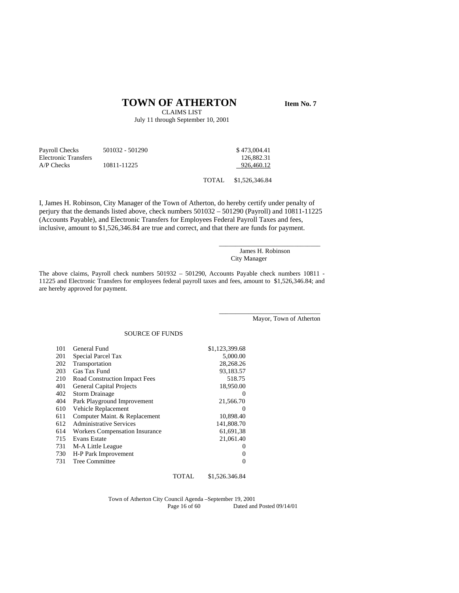# **TOWN OF ATHERTON** Item No. 7

CLAIMS LIST July 11 through September 10, 2001

| Payroll Checks<br><b>Electronic Transfers</b> | 501032 - 501290 |        | \$473,004.41<br>126,882.31 |
|-----------------------------------------------|-----------------|--------|----------------------------|
| $AP$ Checks                                   | 10811-11225     |        | 926.460.12                 |
|                                               |                 | TOTAL. | \$1,526,346.84             |

I, James H. Robinson, City Manager of the Town of Atherton, do hereby certify under penalty of perjury that the demands listed above, check numbers 501032 – 501290 (Payroll) and 10811-11225 (Accounts Payable), and Electronic Transfers for Employees Federal Payroll Taxes and fees, inclusive, amount to \$1,526,346.84 are true and correct, and that there are funds for payment.

> James H. Robinson City Manager

\_\_\_\_\_\_\_\_\_\_\_\_\_\_\_\_\_\_\_\_\_\_\_\_\_\_\_\_\_\_\_

\_\_\_\_\_\_\_\_\_\_\_\_\_\_\_\_\_\_\_\_\_\_\_\_\_\_\_\_\_\_\_

The above claims, Payroll check numbers 501932 – 501290, Accounts Payable check numbers 10811 - 11225 and Electronic Transfers for employees federal payroll taxes and fees, amount to \$1,526,346.84; and are hereby approved for payment.

Mayor, Town of Atherton

#### SOURCE OF FUNDS

| 101 | General Fund                          | \$1,123,399.68 |
|-----|---------------------------------------|----------------|
| 201 | Special Parcel Tax                    | 5,000.00       |
| 202 | Transportation                        | 28,268.26      |
| 203 | Gas Tax Fund                          | 93.183.57      |
| 210 | Road Construction Impact Fees         | 518.75         |
| 401 | <b>General Capital Projects</b>       | 18,950.00      |
| 402 | <b>Storm Drainage</b>                 | $\Omega$       |
| 404 | Park Playground Improvement           | 21,566.70      |
| 610 | Vehicle Replacement                   | $\Omega$       |
| 611 | Computer Maint. & Replacement         | 10,898.40      |
| 612 | <b>Administrative Services</b>        | 141,808.70     |
| 614 | <b>Workers Compensation Insurance</b> | 61.691.38      |
| 715 | <b>Evans Estate</b>                   | 21,061.40      |
| 731 | M-A Little League                     | $\Omega$       |
| 730 | H-P Park Improvement                  | 0              |
| 731 | Tree Committee                        | 0              |
|     |                                       |                |

Town of Atherton City Council Agenda –September 19, 2001 Dated and Posted 09/14/01

TOTAL \$1,526.346.84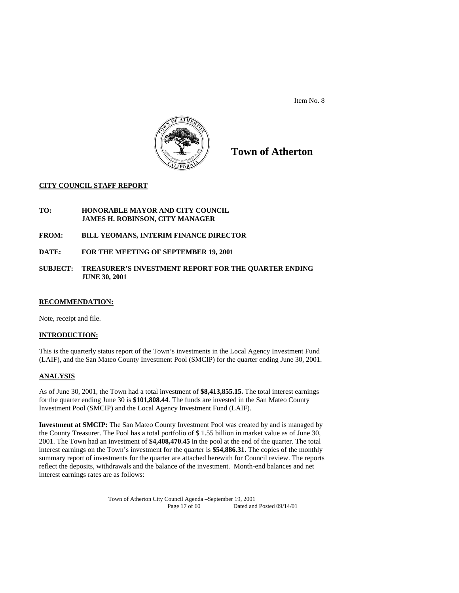

**Town of Atherton** 

# **CITY COUNCIL STAFF REPORT**

- **TO: HONORABLE MAYOR AND CITY COUNCIL JAMES H. ROBINSON, CITY MANAGER**
- **FROM: BILL YEOMANS, INTERIM FINANCE DIRECTOR**
- **DATE: FOR THE MEETING OF SEPTEMBER 19, 2001**
- **SUBJECT: TREASURER'S INVESTMENT REPORT FOR THE QUARTER ENDING JUNE 30, 2001**

#### **RECOMMENDATION:**

Note, receipt and file.

#### **INTRODUCTION:**

This is the quarterly status report of the Town's investments in the Local Agency Investment Fund (LAIF), and the San Mateo County Investment Pool (SMCIP) for the quarter ending June 30, 2001.

#### **ANALYSIS**

As of June 30, 2001, the Town had a total investment of **\$8,413,855.15.** The total interest earnings for the quarter ending June 30 is **\$101,808.44**. The funds are invested in the San Mateo County Investment Pool (SMCIP) and the Local Agency Investment Fund (LAIF).

**Investment at SMCIP:** The San Mateo County Investment Pool was created by and is managed by the County Treasurer. The Pool has a total portfolio of \$ 1.55 billion in market value as of June 30, 2001. The Town had an investment of **\$4,408,470.45** in the pool at the end of the quarter. The total interest earnings on the Town's investment for the quarter is **\$54,886.31.** The copies of the monthly summary report of investments for the quarter are attached herewith for Council review. The reports reflect the deposits, withdrawals and the balance of the investment. Month-end balances and net interest earnings rates are as follows: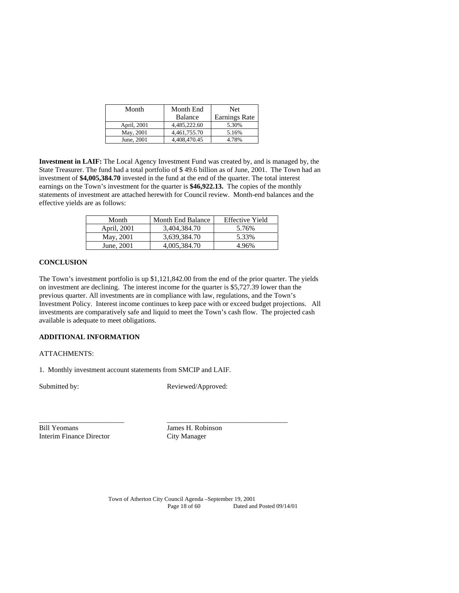| Month       | Month End      | <b>Net</b>           |
|-------------|----------------|----------------------|
|             | <b>Balance</b> | <b>Earnings Rate</b> |
| April, 2001 | 4.485.222.60   | 5.30%                |
| May, 2001   | 4.461.755.70   | 5.16%                |
| June, 2001  | 4,408,470.45   | 4.78%                |

**Investment in LAIF:** The Local Agency Investment Fund was created by, and is managed by, the State Treasurer. The fund had a total portfolio of \$ 49.6 billion as of June, 2001. The Town had an investment of **\$4,005,384.70** invested in the fund at the end of the quarter. The total interest earnings on the Town's investment for the quarter is **\$46,922.13.** The copies of the monthly statements of investment are attached herewith for Council review. Month-end balances and the effective yields are as follows:

| Month       | <b>Month End Balance</b> | <b>Effective Yield</b> |
|-------------|--------------------------|------------------------|
| April, 2001 | 3.404.384.70             | 5.76%                  |
| May, 2001   | 3,639,384.70             | 5.33%                  |
| June, 2001  | 4,005,384.70             | 4.96%                  |

#### **CONCLUSION**

The Town's investment portfolio is up \$1,121,842.00 from the end of the prior quarter. The yields on investment are declining. The interest income for the quarter is \$5,727.39 lower than the previous quarter. All investments are in compliance with law, regulations, and the Town's Investment Policy. Interest income continues to keep pace with or exceed budget projections. All investments are comparatively safe and liquid to meet the Town's cash flow. The projected cash available is adequate to meet obligations.

#### **ADDITIONAL INFORMATION**

#### ATTACHMENTS:

1. Monthly investment account statements from SMCIP and LAIF.

Submitted by: Reviewed/Approved:

Bill Yeomans James H. Robinson Interim Finance Director City Manager

\_\_\_\_\_\_\_\_\_\_\_\_\_\_\_\_\_\_\_\_\_\_\_\_ \_\_\_\_\_\_\_\_\_\_\_\_\_\_\_\_\_\_\_\_\_\_\_\_\_\_\_\_\_\_\_\_\_\_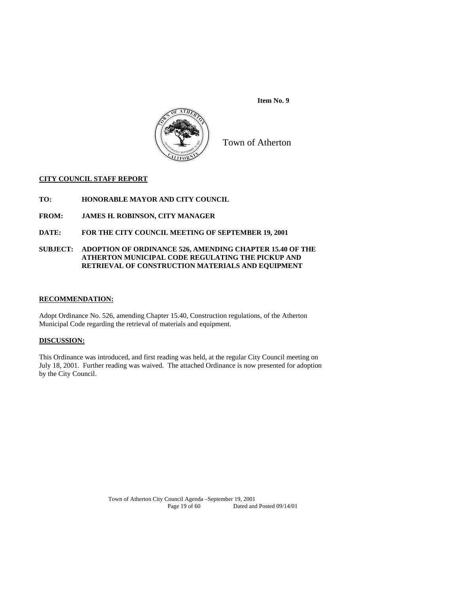

Town of Atherton

## **CITY COUNCIL STAFF REPORT**

- **TO: HONORABLE MAYOR AND CITY COUNCIL**
- **FROM: JAMES H. ROBINSON, CITY MANAGER**
- **DATE: FOR THE CITY COUNCIL MEETING OF SEPTEMBER 19, 2001**

#### **SUBJECT: ADOPTION OF ORDINANCE 526, AMENDING CHAPTER 15.40 OF THE ATHERTON MUNICIPAL CODE REGULATING THE PICKUP AND RETRIEVAL OF CONSTRUCTION MATERIALS AND EQUIPMENT**

#### **RECOMMENDATION:**

Adopt Ordinance No. 526, amending Chapter 15.40, Construction regulations, of the Atherton Municipal Code regarding the retrieval of materials and equipment.

#### **DISCUSSION:**

This Ordinance was introduced, and first reading was held, at the regular City Council meeting on July 18, 2001. Further reading was waived. The attached Ordinance is now presented for adoption by the City Council.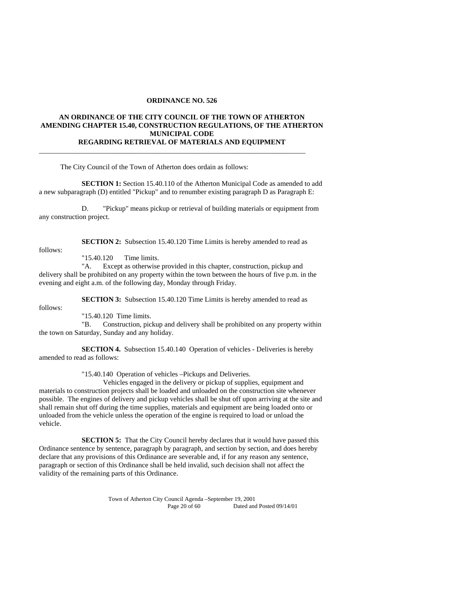#### **ORDINANCE NO. 526**

#### **AN ORDINANCE OF THE CITY COUNCIL OF THE TOWN OF ATHERTON AMENDING CHAPTER 15.40, CONSTRUCTION REGULATIONS, OF THE ATHERTON MUNICIPAL CODE REGARDING RETRIEVAL OF MATERIALS AND EQUIPMENT**

\_\_\_\_\_\_\_\_\_\_\_\_\_\_\_\_\_\_\_\_\_\_\_\_\_\_\_\_\_\_\_\_\_\_\_\_\_\_\_\_\_\_\_\_\_\_\_\_\_\_\_\_\_\_\_\_\_\_\_\_\_\_\_\_\_\_\_\_\_\_\_\_\_\_\_

The City Council of the Town of Atherton does ordain as follows:

**SECTION 1:** Section 15.40.110 of the Atherton Municipal Code as amended to add a new subparagraph (D) entitled "Pickup" and to renumber existing paragraph D as Paragraph E:

 D. "Pickup" means pickup or retrieval of building materials or equipment from any construction project.

follows:

**SECTION 2:** Subsection 15.40.120 Time Limits is hereby amended to read as

"15.40.120 Time limits.

 "A. Except as otherwise provided in this chapter, construction, pickup and delivery shall be prohibited on any property within the town between the hours of five p.m. in the evening and eight a.m. of the following day, Monday through Friday.

**SECTION 3:** Subsection 15.40.120 Time Limits is hereby amended to read as

follows:

"15.40.120 Time limits.

 "B. Construction, pickup and delivery shall be prohibited on any property within the town on Saturday, Sunday and any holiday.

 **SECTION 4.** Subsection 15.40.140 Operation of vehicles - Deliveries is hereby amended to read as follows:

"15.40.140 Operation of vehicles –Pickups and Deliveries.

 Vehicles engaged in the delivery or pickup of supplies, equipment and materials to construction projects shall be loaded and unloaded on the construction site whenever possible. The engines of delivery and pickup vehicles shall be shut off upon arriving at the site and shall remain shut off during the time supplies, materials and equipment are being loaded onto or unloaded from the vehicle unless the operation of the engine is required to load or unload the vehicle.

**SECTION 5:** That the City Council hereby declares that it would have passed this Ordinance sentence by sentence, paragraph by paragraph, and section by section, and does hereby declare that any provisions of this Ordinance are severable and, if for any reason any sentence, paragraph or section of this Ordinance shall be held invalid, such decision shall not affect the validity of the remaining parts of this Ordinance.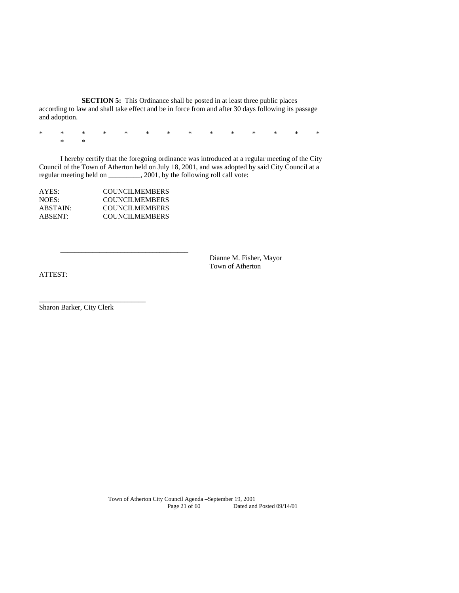**SECTION 5:** This Ordinance shall be posted in at least three public places according to law and shall take effect and be in force from and after 30 days following its passage and adoption.

\* \* \* \* \* \* \* \* \* \* \* \* \* \* \* \*

 I hereby certify that the foregoing ordinance was introduced at a regular meeting of the City Council of the Town of Atherton held on July 18, 2001, and was adopted by said City Council at a regular meeting held on \_\_\_\_\_\_\_\_\_, 2001, by the following roll call vote:

| <b>COUNCILMEMBERS</b> |
|-----------------------|
| <b>COUNCILMEMBERS</b> |
| <b>COUNCILMEMBERS</b> |
| <b>COUNCILMEMBERS</b> |
|                       |

 $\frac{1}{\sqrt{2}}$  ,  $\frac{1}{\sqrt{2}}$  ,  $\frac{1}{\sqrt{2}}$  ,  $\frac{1}{\sqrt{2}}$  ,  $\frac{1}{\sqrt{2}}$  ,  $\frac{1}{\sqrt{2}}$  ,  $\frac{1}{\sqrt{2}}$  ,  $\frac{1}{\sqrt{2}}$  ,  $\frac{1}{\sqrt{2}}$  ,  $\frac{1}{\sqrt{2}}$  ,  $\frac{1}{\sqrt{2}}$  ,  $\frac{1}{\sqrt{2}}$  ,  $\frac{1}{\sqrt{2}}$  ,  $\frac{1}{\sqrt{2}}$  ,  $\frac{1}{\sqrt{2}}$ 

 Dianne M. Fisher, Mayor Town of Atherton

ATTEST:

Sharon Barker, City Clerk

\_\_\_\_\_\_\_\_\_\_\_\_\_\_\_\_\_\_\_\_\_\_\_\_\_\_\_\_\_\_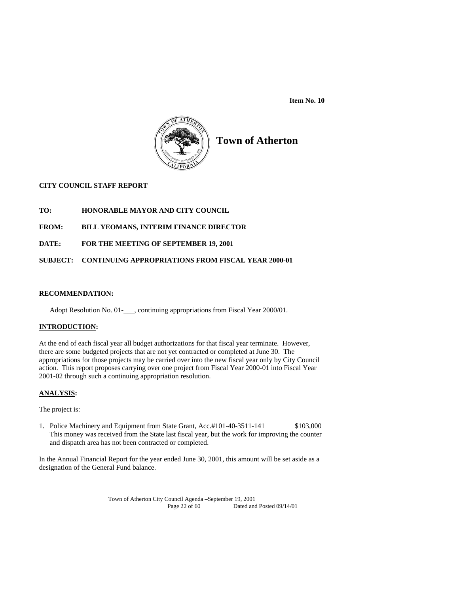

# **Town of Atherton**

# **CITY COUNCIL STAFF REPORT**

**TO: HONORABLE MAYOR AND CITY COUNCIL** 

# **FROM: BILL YEOMANS, INTERIM FINANCE DIRECTOR**

# **DATE: FOR THE MEETING OF SEPTEMBER 19, 2001**

# **SUBJECT: CONTINUING APPROPRIATIONS FROM FISCAL YEAR 2000-01**

#### **RECOMMENDATION:**

Adopt Resolution No. 01-<br>
continuing appropriations from Fiscal Year 2000/01.

#### **INTRODUCTION:**

At the end of each fiscal year all budget authorizations for that fiscal year terminate. However, there are some budgeted projects that are not yet contracted or completed at June 30. The appropriations for those projects may be carried over into the new fiscal year only by City Council action. This report proposes carrying over one project from Fiscal Year 2000-01 into Fiscal Year 2001-02 through such a continuing appropriation resolution.

# **ANALYSIS:**

The project is:

1. Police Machinery and Equipment from State Grant, Acc.#101-40-3511-141 \$103,000 This money was received from the State last fiscal year, but the work for improving the counter and dispatch area has not been contracted or completed.

In the Annual Financial Report for the year ended June 30, 2001, this amount will be set aside as a designation of the General Fund balance.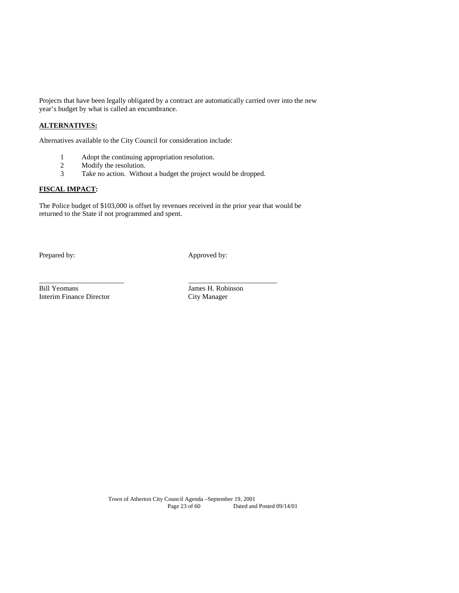Projects that have been legally obligated by a contract are automatically carried over into the new year's budget by what is called an encumbrance.

# **ALTERNATIVES:**

Alternatives available to the City Council for consideration include:

- 1 Adopt the continuing appropriation resolution.<br>2 Modify the resolution.
- 2 Modify the resolution.<br>3 Take no action. Witho
- Take no action. Without a budget the project would be dropped.

\_\_\_\_\_\_\_\_\_\_\_\_\_\_\_\_\_\_\_\_\_\_\_\_ \_\_\_\_\_\_\_\_\_\_\_\_\_\_\_\_\_\_\_\_\_\_\_\_\_

## **FISCAL IMPACT:**

The Police budget of \$103,000 is offset by revenues received in the prior year that would be returned to the State if not programmed and spent.

Prepared by: Approved by:

Bill Yeomans James H. Robinson<br>Interim Finance Director City Manager Interim Finance Director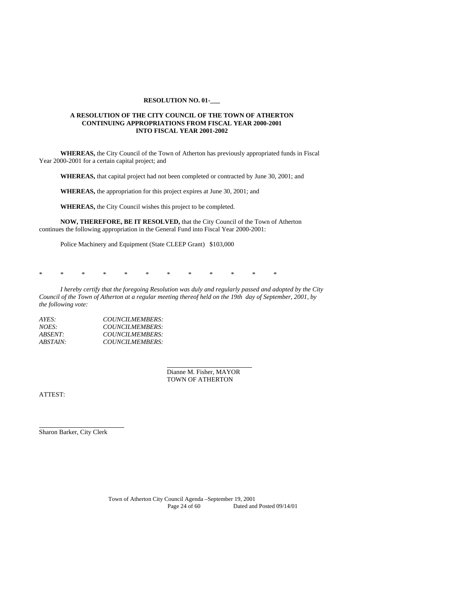#### **RESOLUTION NO. 01-\_\_\_**

#### **A RESOLUTION OF THE CITY COUNCIL OF THE TOWN OF ATHERTON CONTINUING APPROPRIATIONS FROM FISCAL YEAR 2000-2001 INTO FISCAL YEAR 2001-2002**

**WHEREAS,** the City Council of the Town of Atherton has previously appropriated funds in Fiscal Year 2000-2001 for a certain capital project; and

**WHEREAS,** that capital project had not been completed or contracted by June 30, 2001; and

**WHEREAS,** the appropriation for this project expires at June 30, 2001; and

**WHEREAS,** the City Council wishes this project to be completed.

**NOW, THEREFORE, BE IT RESOLVED,** that the City Council of the Town of Atherton continues the following appropriation in the General Fund into Fiscal Year 2000-2001:

Police Machinery and Equipment (State CLEEP Grant) \$103,000

\* \* \* \* \* \* \* \* \* \* \* \*

*I hereby certify that the foregoing Resolution was duly and regularly passed and adopted by the City Council of the Town of Atherton at a regular meeting thereof held on the 19th day of September, 2001, by the following vote:* 

| AYES:    | COUNCILMEMBERS: |
|----------|-----------------|
| NOES:    | COUNCILMEMBERS: |
| ABSENT:  | COUNCILMEMBERS: |
| ABSTAIN: | COUNCILMEMBERS: |

 Dianne M. Fisher, MAYOR TOWN OF ATHERTON

ATTEST:

 $\overline{a}$ 

Sharon Barker, City Clerk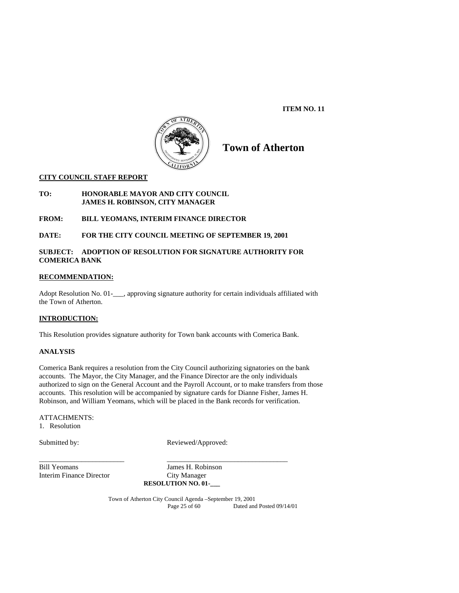**ITEM NO. 11** 



# **Town of Atherton**

#### **CITY COUNCIL STAFF REPORT**

#### **TO: HONORABLE MAYOR AND CITY COUNCIL JAMES H. ROBINSON, CITY MANAGER**

# **FROM: BILL YEOMANS, INTERIM FINANCE DIRECTOR**

# **DATE: FOR THE CITY COUNCIL MEETING OF SEPTEMBER 19, 2001**

# **SUBJECT: ADOPTION OF RESOLUTION FOR SIGNATURE AUTHORITY FOR COMERICA BANK**

#### **RECOMMENDATION:**

Adopt Resolution No. 01-\_\_\_, approving signature authority for certain individuals affiliated with the Town of Atherton.

#### **INTRODUCTION:**

This Resolution provides signature authority for Town bank accounts with Comerica Bank.

#### **ANALYSIS**

Comerica Bank requires a resolution from the City Council authorizing signatories on the bank accounts. The Mayor, the City Manager, and the Finance Director are the only individuals authorized to sign on the General Account and the Payroll Account, or to make transfers from those accounts. This resolution will be accompanied by signature cards for Dianne Fisher, James H. Robinson, and William Yeomans, which will be placed in the Bank records for verification.

#### ATTACHMENTS:

1. Resolution

Submitted by: Reviewed/Approved:

Bill Yeomans James H. Robinson Interim Finance Director City Manager

**RESOLUTION NO. 01-\_\_\_** 

\_\_\_\_\_\_\_\_\_\_\_\_\_\_\_\_\_\_\_\_\_\_\_\_ \_\_\_\_\_\_\_\_\_\_\_\_\_\_\_\_\_\_\_\_\_\_\_\_\_\_\_\_\_\_\_\_\_\_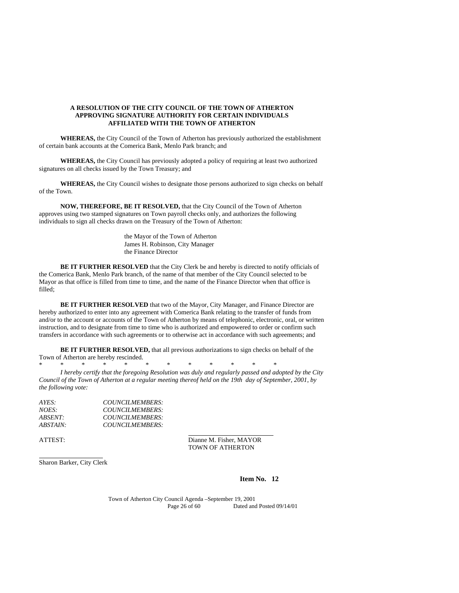#### **A RESOLUTION OF THE CITY COUNCIL OF THE TOWN OF ATHERTON APPROVING SIGNATURE AUTHORITY FOR CERTAIN INDIVIDUALS AFFILIATED WITH THE TOWN OF ATHERTON**

**WHEREAS,** the City Council of the Town of Atherton has previously authorized the establishment of certain bank accounts at the Comerica Bank, Menlo Park branch; and

**WHEREAS,** the City Council has previously adopted a policy of requiring at least two authorized signatures on all checks issued by the Town Treasury; and

**WHEREAS,** the City Council wishes to designate those persons authorized to sign checks on behalf of the Town.

**NOW, THEREFORE, BE IT RESOLVED,** that the City Council of the Town of Atherton approves using two stamped signatures on Town payroll checks only, and authorizes the following individuals to sign all checks drawn on the Treasury of the Town of Atherton:

> the Mayor of the Town of Atherton James H. Robinson, City Manager the Finance Director

**BE IT FURTHER RESOLVED** that the City Clerk be and hereby is directed to notify officials of the Comerica Bank, Menlo Park branch, of the name of that member of the City Council selected to be Mayor as that office is filled from time to time, and the name of the Finance Director when that office is filled;

**BE IT FURTHER RESOLVED** that two of the Mayor, City Manager, and Finance Director are hereby authorized to enter into any agreement with Comerica Bank relating to the transfer of funds from and/or to the account or accounts of the Town of Atherton by means of telephonic, electronic, oral, or written instruction, and to designate from time to time who is authorized and empowered to order or confirm such transfers in accordance with such agreements or to otherwise act in accordance with such agreements; and

**BE IT FURTHER RESOLVED,** that all previous authorizations to sign checks on behalf of the Town of Atherton are hereby rescinded.

\* \* \* \* \* \* \* \* \* \* \* \*

*I hereby certify that the foregoing Resolution was duly and regularly passed and adopted by the City Council of the Town of Atherton at a regular meeting thereof held on the 19th day of September, 2001, by the following vote:* 

| AYES:    | COUNCILMEMBERS: |
|----------|-----------------|
| NOES:    | COUNCILMEMBERS: |
| ABSENT∙  | COUNCILMEMBERS: |
| ABSTAIN: | COUNCILMEMBERS: |

 $\overline{a}$ 

ATTEST: Dianne M. Fisher, MAYOR TOWN OF ATHERTON

Sharon Barker, City Clerk

**Item No. 12**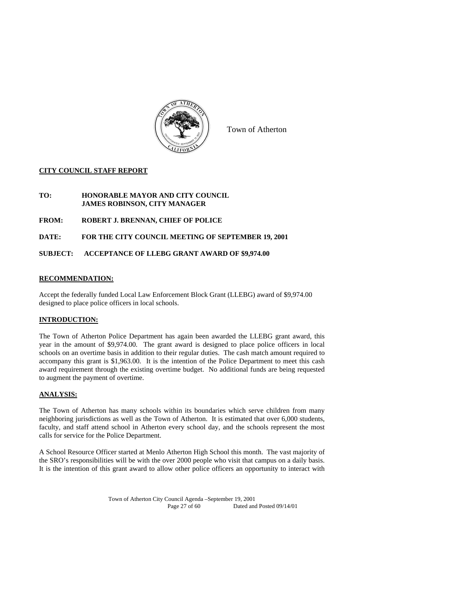

Town of Atherton

## **CITY COUNCIL STAFF REPORT**

- **TO: HONORABLE MAYOR AND CITY COUNCIL JAMES ROBINSON, CITY MANAGER**
- **FROM: ROBERT J. BRENNAN, CHIEF OF POLICE**

**DATE: FOR THE CITY COUNCIL MEETING OF SEPTEMBER 19, 2001** 

## **SUBJECT: ACCEPTANCE OF LLEBG GRANT AWARD OF \$9,974.00**

## **RECOMMENDATION:**

Accept the federally funded Local Law Enforcement Block Grant (LLEBG) award of \$9,974.00 designed to place police officers in local schools.

#### **INTRODUCTION:**

The Town of Atherton Police Department has again been awarded the LLEBG grant award, this year in the amount of \$9,974.00. The grant award is designed to place police officers in local schools on an overtime basis in addition to their regular duties. The cash match amount required to accompany this grant is \$1,963.00. It is the intention of the Police Department to meet this cash award requirement through the existing overtime budget. No additional funds are being requested to augment the payment of overtime.

#### **ANALYSIS:**

The Town of Atherton has many schools within its boundaries which serve children from many neighboring jurisdictions as well as the Town of Atherton. It is estimated that over 6,000 students, faculty, and staff attend school in Atherton every school day, and the schools represent the most calls for service for the Police Department.

A School Resource Officer started at Menlo Atherton High School this month. The vast majority of the SRO's responsibilities will be with the over 2000 people who visit that campus on a daily basis. It is the intention of this grant award to allow other police officers an opportunity to interact with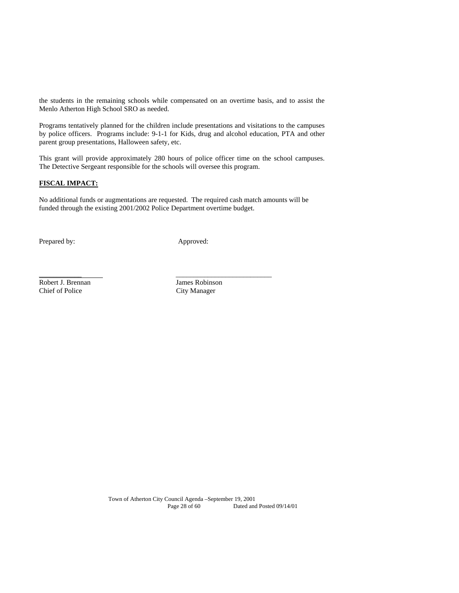the students in the remaining schools while compensated on an overtime basis, and to assist the Menlo Atherton High School SRO as needed.

Programs tentatively planned for the children include presentations and visitations to the campuses by police officers. Programs include: 9-1-1 for Kids, drug and alcohol education, PTA and other parent group presentations, Halloween safety, etc.

This grant will provide approximately 280 hours of police officer time on the school campuses. The Detective Sergeant responsible for the schools will oversee this program.

# **FISCAL IMPACT:**

No additional funds or augmentations are requested. The required cash match amounts will be funded through the existing 2001/2002 Police Department overtime budget.

\_\_\_\_\_\_\_\_\_\_\_\_\_\_\_\_\_\_\_\_\_\_\_\_\_\_\_\_\_\_\_\_\_\_\_\_\_\_\_

Prepared by: Approved:

Robert J. Brennan James Robinson Chief of Police City Manager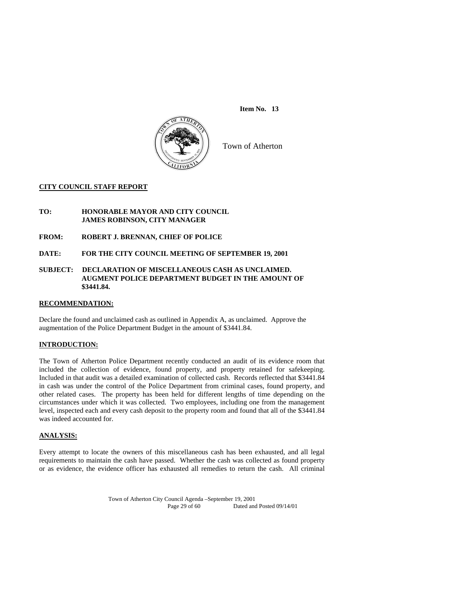

Town of Atherton

#### **CITY COUNCIL STAFF REPORT**

#### **TO: HONORABLE MAYOR AND CITY COUNCIL JAMES ROBINSON, CITY MANAGER**

#### **FROM: ROBERT J. BRENNAN, CHIEF OF POLICE**

## **DATE: FOR THE CITY COUNCIL MEETING OF SEPTEMBER 19, 2001**

#### **SUBJECT: DECLARATION OF MISCELLANEOUS CASH AS UNCLAIMED. AUGMENT POLICE DEPARTMENT BUDGET IN THE AMOUNT OF \$3441.84.**

## **RECOMMENDATION:**

Declare the found and unclaimed cash as outlined in Appendix A, as unclaimed. Approve the augmentation of the Police Department Budget in the amount of \$3441.84.

#### **INTRODUCTION:**

The Town of Atherton Police Department recently conducted an audit of its evidence room that included the collection of evidence, found property, and property retained for safekeeping. Included in that audit was a detailed examination of collected cash. Records reflected that \$3441.84 in cash was under the control of the Police Department from criminal cases, found property, and other related cases. The property has been held for different lengths of time depending on the circumstances under which it was collected. Two employees, including one from the management level, inspected each and every cash deposit to the property room and found that all of the \$3441.84 was indeed accounted for.

#### **ANALYSIS:**

Every attempt to locate the owners of this miscellaneous cash has been exhausted, and all legal requirements to maintain the cash have passed. Whether the cash was collected as found property or as evidence, the evidence officer has exhausted all remedies to return the cash. All criminal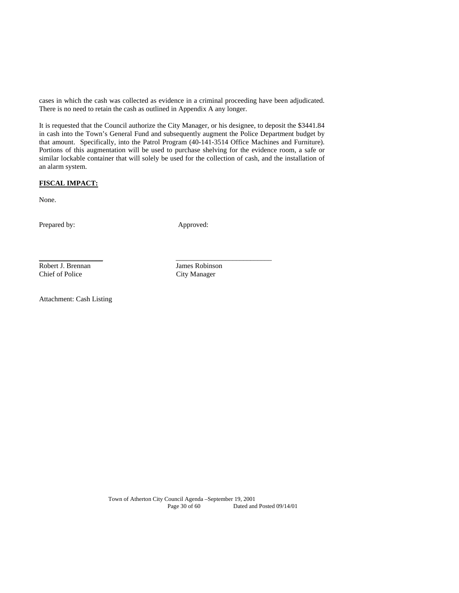cases in which the cash was collected as evidence in a criminal proceeding have been adjudicated. There is no need to retain the cash as outlined in Appendix A any longer.

It is requested that the Council authorize the City Manager, or his designee, to deposit the \$3441.84 in cash into the Town's General Fund and subsequently augment the Police Department budget by that amount. Specifically, into the Patrol Program (40-141-3514 Office Machines and Furniture). Portions of this augmentation will be used to purchase shelving for the evidence room, a safe or similar lockable container that will solely be used for the collection of cash, and the installation of an alarm system.

# **FISCAL IMPACT:**

None.

Prepared by: Approved:

\_\_\_\_\_\_\_\_\_\_\_\_\_\_\_\_\_\_\_\_\_\_\_\_\_\_\_\_\_\_\_\_\_\_\_\_\_\_\_\_\_\_\_\_\_

Robert J. Brennan James Robinson Chief of Police City Manager

Attachment: Cash Listing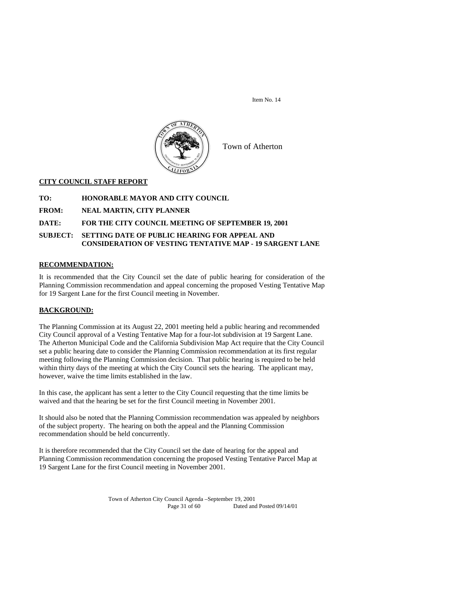

Town of Atherton

#### **CITY COUNCIL STAFF REPORT**

- **TO: HONORABLE MAYOR AND CITY COUNCIL**
- **FROM: NEAL MARTIN, CITY PLANNER**

#### **DATE: FOR THE CITY COUNCIL MEETING OF SEPTEMBER 19, 2001**

#### **SUBJECT: SETTING DATE OF PUBLIC HEARING FOR APPEAL AND CONSIDERATION OF VESTING TENTATIVE MAP - 19 SARGENT LANE**

## **RECOMMENDATION:**

It is recommended that the City Council set the date of public hearing for consideration of the Planning Commission recommendation and appeal concerning the proposed Vesting Tentative Map for 19 Sargent Lane for the first Council meeting in November.

## **BACKGROUND:**

The Planning Commission at its August 22, 2001 meeting held a public hearing and recommended City Council approval of a Vesting Tentative Map for a four-lot subdivision at 19 Sargent Lane. The Atherton Municipal Code and the California Subdivision Map Act require that the City Council set a public hearing date to consider the Planning Commission recommendation at its first regular meeting following the Planning Commission decision. That public hearing is required to be held within thirty days of the meeting at which the City Council sets the hearing. The applicant may, however, waive the time limits established in the law.

In this case, the applicant has sent a letter to the City Council requesting that the time limits be waived and that the hearing be set for the first Council meeting in November 2001.

It should also be noted that the Planning Commission recommendation was appealed by neighbors of the subject property. The hearing on both the appeal and the Planning Commission recommendation should be held concurrently.

It is therefore recommended that the City Council set the date of hearing for the appeal and Planning Commission recommendation concerning the proposed Vesting Tentative Parcel Map at 19 Sargent Lane for the first Council meeting in November 2001.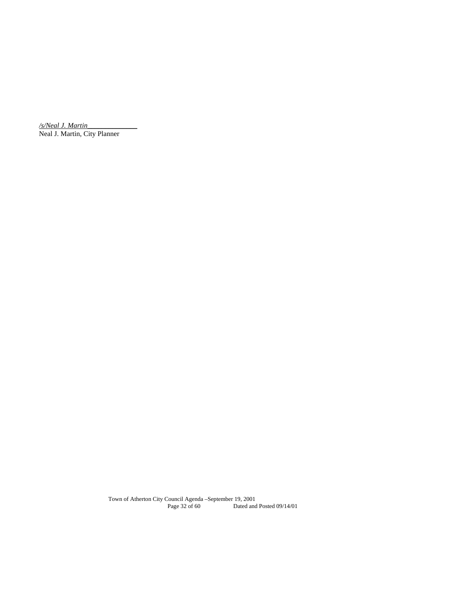*/s/Neal J. Martin*\_\_\_\_\_\_\_\_\_\_\_\_\_\_ Neal J. Martin, City Planner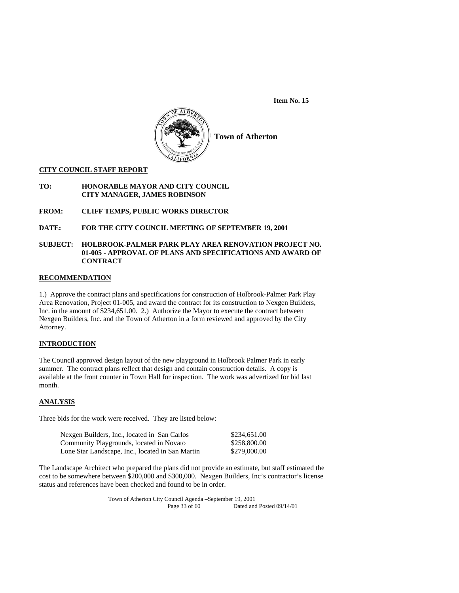

**Town of Atherton** 

#### **CITY COUNCIL STAFF REPORT**

**TO: HONORABLE MAYOR AND CITY COUNCIL CITY MANAGER, JAMES ROBINSON** 

- **FROM: CLIFF TEMPS, PUBLIC WORKS DIRECTOR**
- **DATE: FOR THE CITY COUNCIL MEETING OF SEPTEMBER 19, 2001**
- **SUBJECT: HOLBROOK-PALMER PARK PLAY AREA RENOVATION PROJECT NO. 01-005 - APPROVAL OF PLANS AND SPECIFICATIONS AND AWARD OF CONTRACT**

## **RECOMMENDATION**

1.) Approve the contract plans and specifications for construction of Holbrook-Palmer Park Play Area Renovation, Project 01-005, and award the contract for its construction to Nexgen Builders, Inc. in the amount of \$234,651.00. 2.) Authorize the Mayor to execute the contract between Nexgen Builders, Inc. and the Town of Atherton in a form reviewed and approved by the City Attorney.

# **INTRODUCTION**

The Council approved design layout of the new playground in Holbrook Palmer Park in early summer. The contract plans reflect that design and contain construction details. A copy is available at the front counter in Town Hall for inspection. The work was advertized for bid last month.

#### **ANALYSIS**

Three bids for the work were received. They are listed below:

| Nexgen Builders, Inc., located in San Carlos     | \$234,651.00 |
|--------------------------------------------------|--------------|
| Community Playgrounds, located in Novato         | \$258,800.00 |
| Lone Star Landscape, Inc., located in San Martin | \$279,000.00 |

The Landscape Architect who prepared the plans did not provide an estimate, but staff estimated the cost to be somewhere between \$200,000 and \$300,000. Nexgen Builders, Inc's contractor's license status and references have been checked and found to be in order.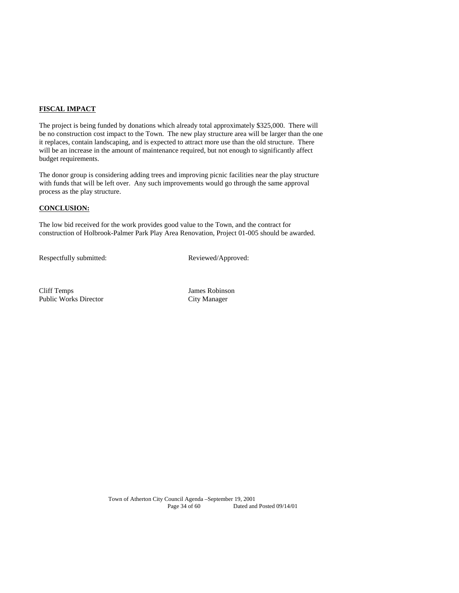#### **FISCAL IMPACT**

The project is being funded by donations which already total approximately \$325,000. There will be no construction cost impact to the Town. The new play structure area will be larger than the one it replaces, contain landscaping, and is expected to attract more use than the old structure. There will be an increase in the amount of maintenance required, but not enough to significantly affect budget requirements.

The donor group is considering adding trees and improving picnic facilities near the play structure with funds that will be left over. Any such improvements would go through the same approval process as the play structure.

# **CONCLUSION:**

The low bid received for the work provides good value to the Town, and the contract for construction of Holbrook-Palmer Park Play Area Renovation, Project 01-005 should be awarded.

Respectfully submitted: Reviewed/Approved:

Cliff Temps James Robinson Public Works Director City Manager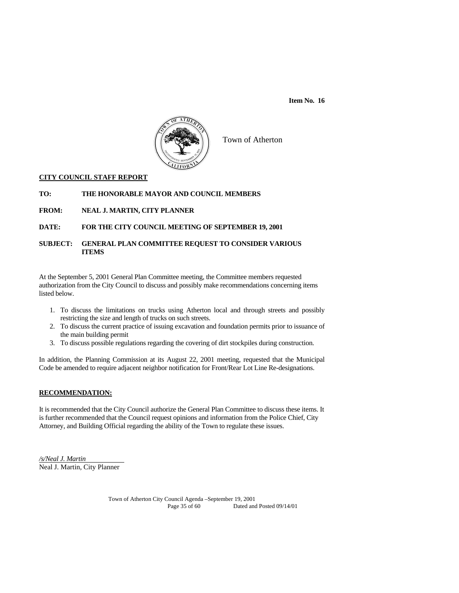

Town of Atherton

# **CITY COUNCIL STAFF REPORT**

# **TO: THE HONORABLE MAYOR AND COUNCIL MEMBERS**

**FROM: NEAL J. MARTIN, CITY PLANNER** 

## **DATE: FOR THE CITY COUNCIL MEETING OF SEPTEMBER 19, 2001**

# **SUBJECT: GENERAL PLAN COMMITTEE REQUEST TO CONSIDER VARIOUS ITEMS**

At the September 5, 2001 General Plan Committee meeting, the Committee members requested authorization from the City Council to discuss and possibly make recommendations concerning items listed below.

- 1. To discuss the limitations on trucks using Atherton local and through streets and possibly restricting the size and length of trucks on such streets.
- 2. To discuss the current practice of issuing excavation and foundation permits prior to issuance of the main building permit
- 3. To discuss possible regulations regarding the covering of dirt stockpiles during construction.

In addition, the Planning Commission at its August 22, 2001 meeting, requested that the Municipal Code be amended to require adjacent neighbor notification for Front/Rear Lot Line Re-designations.

## **RECOMMENDATION:**

It is recommended that the City Council authorize the General Plan Committee to discuss these items. It is further recommended that the Council request opinions and information from the Police Chief, City Attorney, and Building Official regarding the ability of the Town to regulate these issues.

*/s/Neal J. Martin*  Neal J. Martin, City Planner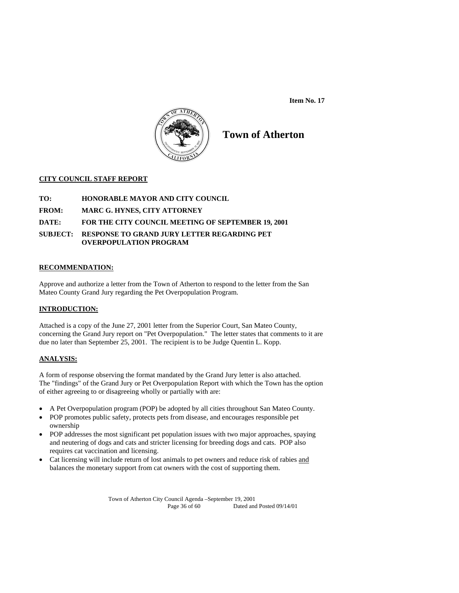

# **Town of Atherton**

# **CITY COUNCIL STAFF REPORT**

- **TO: HONORABLE MAYOR AND CITY COUNCIL**
- **FROM: MARC G. HYNES, CITY ATTORNEY**
- **DATE: FOR THE CITY COUNCIL MEETING OF SEPTEMBER 19, 2001**
- **SUBJECT: RESPONSE TO GRAND JURY LETTER REGARDING PET OVERPOPULATION PROGRAM**

# **RECOMMENDATION:**

Approve and authorize a letter from the Town of Atherton to respond to the letter from the San Mateo County Grand Jury regarding the Pet Overpopulation Program.

# **INTRODUCTION:**

Attached is a copy of the June 27, 2001 letter from the Superior Court, San Mateo County, concerning the Grand Jury report on "Pet Overpopulation." The letter states that comments to it are due no later than September 25, 2001. The recipient is to be Judge Quentin L. Kopp.

## **ANALYSIS:**

A form of response observing the format mandated by the Grand Jury letter is also attached. The "findings" of the Grand Jury or Pet Overpopulation Report with which the Town has the option of either agreeing to or disagreeing wholly or partially with are:

- A Pet Overpopulation program (POP) be adopted by all cities throughout San Mateo County.
- POP promotes public safety, protects pets from disease, and encourages responsible pet ownership
- POP addresses the most significant pet population issues with two major approaches, spaying and neutering of dogs and cats and stricter licensing for breeding dogs and cats. POP also requires cat vaccination and licensing.
- Cat licensing will include return of lost animals to pet owners and reduce risk of rabies and balances the monetary support from cat owners with the cost of supporting them.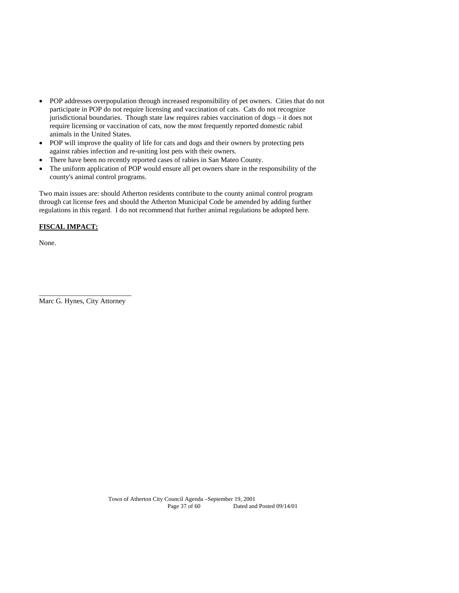- POP addresses overpopulation through increased responsibility of pet owners. Cities that do not participate in POP do not require licensing and vaccination of cats. Cats do not recognize jurisdictional boundaries. Though state law requires rabies vaccination of dogs – it does not require licensing or vaccination of cats, now the most frequently reported domestic rabid animals in the United States.
- POP will improve the quality of life for cats and dogs and their owners by protecting pets against rabies infection and re-uniting lost pets with their owners.
- There have been no recently reported cases of rabies in San Mateo County.
- The uniform application of POP would ensure all pet owners share in the responsibility of the county's animal control programs.

Two main issues are: should Atherton residents contribute to the county animal control program through cat license fees and should the Atherton Municipal Code be amended by adding further regulations in this regard. I do not recommend that further animal regulations be adopted here.

# **FISCAL IMPACT:**

None.

\_\_\_\_\_\_\_\_\_\_\_\_\_\_\_\_\_\_\_\_\_\_\_\_\_\_ Marc G. Hynes, City Attorney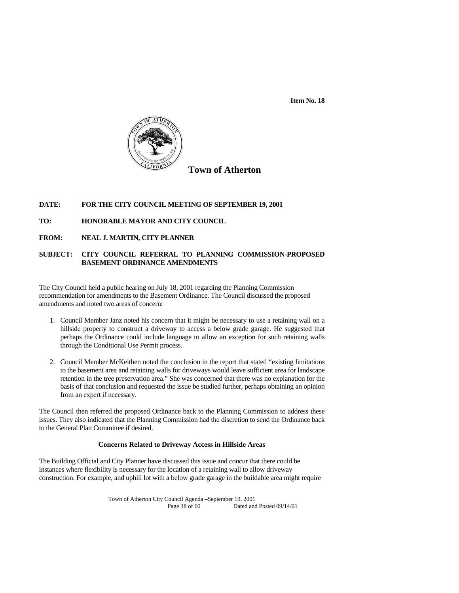

# **Town of Atherton**

#### **DATE: FOR THE CITY COUNCIL MEETING OF SEPTEMBER 19, 2001**

## **TO: HONORABLE MAYOR AND CITY COUNCIL**

**FROM: NEAL J. MARTIN, CITY PLANNER** 

# **SUBJECT: CITY COUNCIL REFERRAL TO PLANNING COMMISSION-PROPOSED BASEMENT ORDINANCE AMENDMENTS**

The City Council held a public hearing on July 18, 2001 regarding the Planning Commission recommendation for amendments to the Basement Ordinance. The Council discussed the proposed amendments and noted two areas of concern:

- 1. Council Member Janz noted his concern that it might be necessary to use a retaining wall on a hillside property to construct a driveway to access a below grade garage. He suggested that perhaps the Ordinance could include language to allow an exception for such retaining walls through the Conditional Use Permit process.
- 2. Council Member McKeithen noted the conclusion in the report that stated "existing limitations to the basement area and retaining walls for driveways would leave sufficient area for landscape retention in the tree preservation area." She was concerned that there was no explanation for the basis of that conclusion and requested the issue be studied further, perhaps obtaining an opinion from an expert if necessary.

The Council then referred the proposed Ordinance back to the Planning Commission to address these issues. They also indicated that the Planning Commission had the discretion to send the Ordinance back to the General Plan Committee if desired.

#### **Concerns Related to Driveway Access in Hillside Areas**

The Building Official and City Planner have discussed this issue and concur that there could be instances where flexibility is necessary for the location of a retaining wall to allow driveway construction. For example, and uphill lot with a below grade garage in the buildable area might require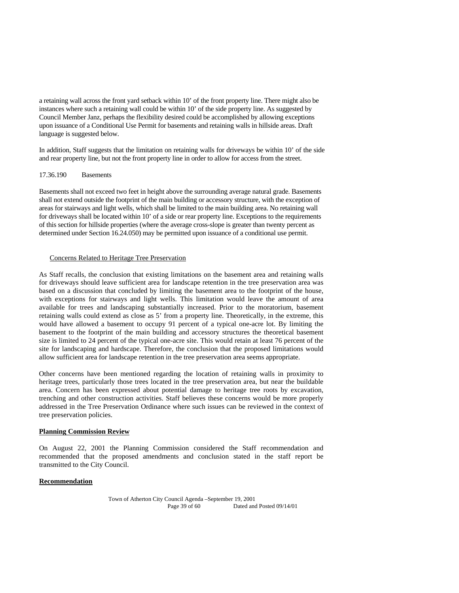a retaining wall across the front yard setback within 10' of the front property line. There might also be instances where such a retaining wall could be within 10' of the side property line. As suggested by Council Member Janz, perhaps the flexibility desired could be accomplished by allowing exceptions upon issuance of a Conditional Use Permit for basements and retaining walls in hillside areas. Draft language is suggested below.

In addition, Staff suggests that the limitation on retaining walls for driveways be within 10' of the side and rear property line, but not the front property line in order to allow for access from the street.

#### 17.36.190 Basements

Basements shall not exceed two feet in height above the surrounding average natural grade. Basements shall not extend outside the footprint of the main building or accessory structure, with the exception of areas for stairways and light wells, which shall be limited to the main building area. No retaining wall for driveways shall be located within 10' of a side or rear property line. Exceptions to the requirements of this section for hillside properties (where the average cross-slope is greater than twenty percent as determined under Section 16.24.050) may be permitted upon issuance of a conditional use permit.

#### Concerns Related to Heritage Tree Preservation

As Staff recalls, the conclusion that existing limitations on the basement area and retaining walls for driveways should leave sufficient area for landscape retention in the tree preservation area was based on a discussion that concluded by limiting the basement area to the footprint of the house, with exceptions for stairways and light wells. This limitation would leave the amount of area available for trees and landscaping substantially increased. Prior to the moratorium, basement retaining walls could extend as close as 5' from a property line. Theoretically, in the extreme, this would have allowed a basement to occupy 91 percent of a typical one-acre lot. By limiting the basement to the footprint of the main building and accessory structures the theoretical basement size is limited to 24 percent of the typical one-acre site. This would retain at least 76 percent of the site for landscaping and hardscape. Therefore, the conclusion that the proposed limitations would allow sufficient area for landscape retention in the tree preservation area seems appropriate.

Other concerns have been mentioned regarding the location of retaining walls in proximity to heritage trees, particularly those trees located in the tree preservation area, but near the buildable area. Concern has been expressed about potential damage to heritage tree roots by excavation, trenching and other construction activities. Staff believes these concerns would be more properly addressed in the Tree Preservation Ordinance where such issues can be reviewed in the context of tree preservation policies.

## **Planning Commission Review**

On August 22, 2001 the Planning Commission considered the Staff recommendation and recommended that the proposed amendments and conclusion stated in the staff report be transmitted to the City Council.

#### **Recommendation**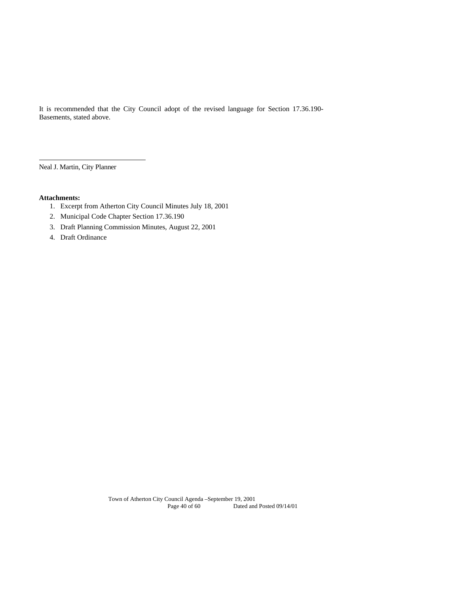It is recommended that the City Council adopt of the revised language for Section 17.36.190- Basements, stated above.

Neal J. Martin, City Planner

# **Attachments:**

l

- 1. Excerpt from Atherton City Council Minutes July 18, 2001
- 2. Municipal Code Chapter Section 17.36.190
- 3. Draft Planning Commission Minutes, August 22, 2001
- 4. Draft Ordinance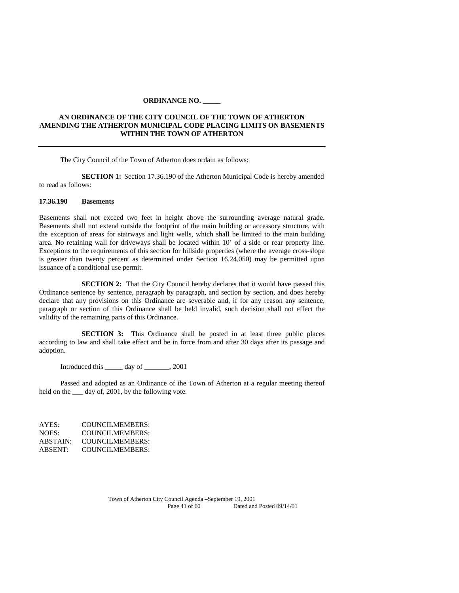#### **ORDINANCE NO. \_\_\_\_\_**

# **AN ORDINANCE OF THE CITY COUNCIL OF THE TOWN OF ATHERTON AMENDING THE ATHERTON MUNICIPAL CODE PLACING LIMITS ON BASEMENTS WITHIN THE TOWN OF ATHERTON**

The City Council of the Town of Atherton does ordain as follows:

**SECTION 1:** Section 17.36.190 of the Atherton Municipal Code is hereby amended to read as follows:

#### **17.36.190 Basements**

Basements shall not exceed two feet in height above the surrounding average natural grade. Basements shall not extend outside the footprint of the main building or accessory structure, with the exception of areas for stairways and light wells, which shall be limited to the main building area. No retaining wall for driveways shall be located within 10' of a side or rear property line. Exceptions to the requirements of this section for hillside properties (where the average cross-slope is greater than twenty percent as determined under Section 16.24.050) may be permitted upon issuance of a conditional use permit.

**SECTION 2:** That the City Council hereby declares that it would have passed this Ordinance sentence by sentence, paragraph by paragraph, and section by section, and does hereby declare that any provisions on this Ordinance are severable and, if for any reason any sentence, paragraph or section of this Ordinance shall be held invalid, such decision shall not effect the validity of the remaining parts of this Ordinance.

**SECTION 3:** This Ordinance shall be posted in at least three public places according to law and shall take effect and be in force from and after 30 days after its passage and adoption.

Introduced this \_\_\_\_\_ day of \_\_\_\_\_\_\_, 2001

Passed and adopted as an Ordinance of the Town of Atherton at a regular meeting thereof held on the  $\_\_\_$  day of, 2001, by the following vote.

AYES: COUNCILMEMBERS: NOES: COUNCILMEMBERS:<br>ABSTAIN: COUNCILMEMBERS: ABSTAIN: COUNCILMEMBERS:<br>ABSENT: COUNCILMEMBERS: COUNCILMEMBERS: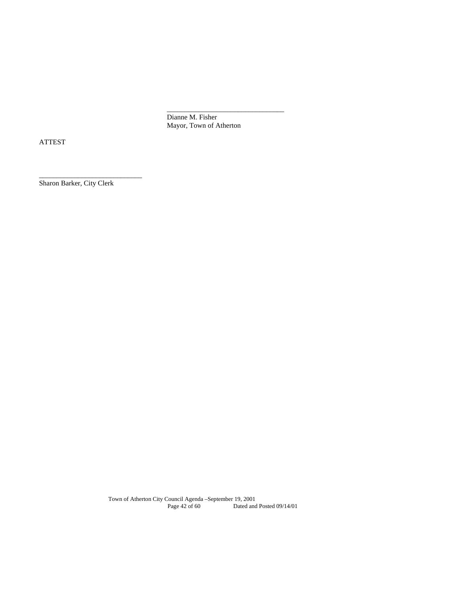Dianne M. Fisher Mayor, Town of Atherton

 $\mathcal{L}_\text{max}$  , and the contract of the contract of the contract of the contract of the contract of the contract of

ATTEST

Sharon Barker, City Clerk

\_\_\_\_\_\_\_\_\_\_\_\_\_\_\_\_\_\_\_\_\_\_\_\_\_\_\_\_\_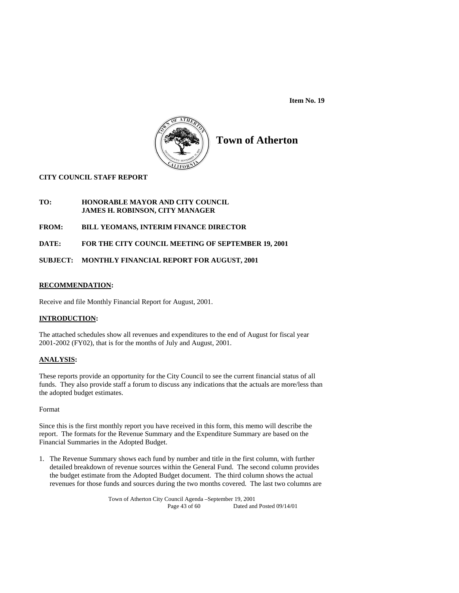

# **Town of Atherton**

# **CITY COUNCIL STAFF REPORT**

## **TO: HONORABLE MAYOR AND CITY COUNCIL JAMES H. ROBINSON, CITY MANAGER**

# **FROM: BILL YEOMANS, INTERIM FINANCE DIRECTOR**

## **DATE: FOR THE CITY COUNCIL MEETING OF SEPTEMBER 19, 2001**

## **SUBJECT: MONTHLY FINANCIAL REPORT FOR AUGUST, 2001**

#### **RECOMMENDATION:**

Receive and file Monthly Financial Report for August, 2001.

#### **INTRODUCTION:**

The attached schedules show all revenues and expenditures to the end of August for fiscal year 2001-2002 (FY02), that is for the months of July and August, 2001.

#### **ANALYSIS:**

These reports provide an opportunity for the City Council to see the current financial status of all funds. They also provide staff a forum to discuss any indications that the actuals are more/less than the adopted budget estimates.

#### Format

Since this is the first monthly report you have received in this form, this memo will describe the report. The formats for the Revenue Summary and the Expenditure Summary are based on the Financial Summaries in the Adopted Budget.

1. The Revenue Summary shows each fund by number and title in the first column, with further detailed breakdown of revenue sources within the General Fund. The second column provides the budget estimate from the Adopted Budget document. The third column shows the actual revenues for those funds and sources during the two months covered. The last two columns are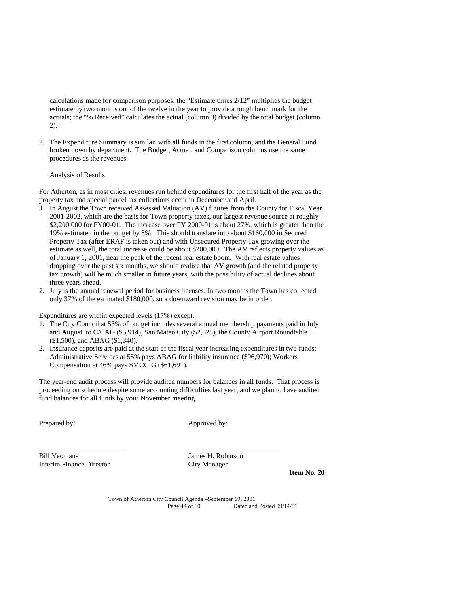calculations made for comparison purposes: the "Estimate times 2/12" multiplies the budget estimate by two months out of the twelve in the year to provide a rough benchmark for the actuals; the "% Received" calculates the actual (column 3) divided by the total budget (column 2).

2. The Expenditure Summary is similar, with all funds in the first column, and the General Fund broken down by department. The Budget, Actual, and Comparison columns use the same procedures as the revenues.

#### Analysis of Results

For Atherton, as in most cities, revenues run behind expenditures for the first half of the year as the property tax and special parcel tax collections occur in December and April.

- 1. In August the Town received Assessed Valuation (AV) figures from the County for Fiscal Year 2001-2002, which are the basis for Town property taxes, our largest revenue source at roughly \$2,200,000 for FY00-01. The increase over FY 2000-01 is about 27%, which is greater than the 19% estimated in the budget by 8%! This should translate into about \$160,000 in Secured Property Tax (after ERAF is taken out) and with Unsecured Property Tax growing over the estimate as well, the total increase could be about \$200,000. The AV reflects property values as of January 1, 2001, near the peak of the recent real estate boom. With real estate values dropping over the past six months, we should realize that AV growth (and the related property tax growth) will be much smaller in future years, with the possibility of actual declines about three years ahead.
- 2. July is the annual renewal period for business licenses. In two months the Town has collected only 37% of the estimated \$180,000, so a downward revision may be in order.

Expenditures are within expected levels (17%) except:

- 1. The City Council at 53% of budget includes several annual membership payments paid in July and August to C/CAG (\$5,914), San Mateo City (\$2,625), the County Airport Roundtable (\$1,500), and ABAG (\$1,340).
- 2. Insurance deposits are paid at the start of the fiscal year increasing expenditures in two funds: Administrative Services at 55% pays ABAG for liability insurance (\$96,970); Workers Compensation at 46% pays SMCCIG (\$61,691).

The year-end audit process will provide audited numbers for balances in all funds. That process is proceeding on schedule despite some accounting difficulties last year, and we plan to have audited fund balances for all funds by your November meeting.

\_\_\_\_\_\_\_\_\_\_\_\_\_\_\_\_\_\_\_\_\_\_\_\_ \_\_\_\_\_\_\_\_\_\_\_\_\_\_\_\_\_\_\_\_\_\_\_\_\_

Prepared by: Approved by:

Bill Yeomans James H. Robinson Interim Finance Director City Manager

 **Item No. 20**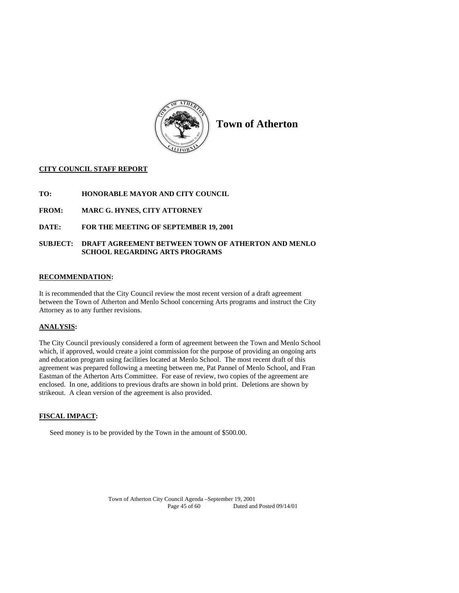

**Town of Atherton** 

## **CITY COUNCIL STAFF REPORT**

- **TO: HONORABLE MAYOR AND CITY COUNCIL**
- **FROM: MARC G. HYNES, CITY ATTORNEY**
- **DATE: FOR THE MEETING OF SEPTEMBER 19, 2001**

## **SUBJECT: DRAFT AGREEMENT BETWEEN TOWN OF ATHERTON AND MENLO SCHOOL REGARDING ARTS PROGRAMS**

#### **RECOMMENDATION:**

It is recommended that the City Council review the most recent version of a draft agreement between the Town of Atherton and Menlo School concerning Arts programs and instruct the City Attorney as to any further revisions.

#### **ANALYSIS:**

The City Council previously considered a form of agreement between the Town and Menlo School which, if approved, would create a joint commission for the purpose of providing an ongoing arts and education program using facilities located at Menlo School. The most recent draft of this agreement was prepared following a meeting between me, Pat Pannel of Menlo School, and Fran Eastman of the Atherton Arts Committee. For ease of review, two copies of the agreement are enclosed. In one, additions to previous drafts are shown in bold print. Deletions are shown by strikeout. A clean version of the agreement is also provided.

#### **FISCAL IMPACT:**

Seed money is to be provided by the Town in the amount of \$500.00.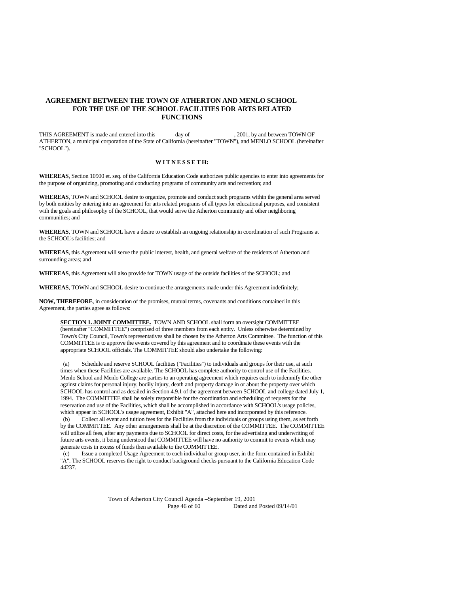#### **AGREEMENT BETWEEN THE TOWN OF ATHERTON AND MENLO SCHOOL FOR THE USE OF THE SCHOOL FACILITIES FOR ARTS RELATED FUNCTIONS**

THIS AGREEMENT is made and entered into this day of \_\_\_\_\_\_\_\_\_\_\_\_\_\_\_, 2001, by and between TOWN OF ATHERTON, a municipal corporation of the State of California (hereinafter "TOWN"), and MENLO SCHOOL (hereinafter "SCHOOL").

#### **W I T N E S S E T H:**

**WHEREAS**, Section 10900 et. seq. of the California Education Code authorizes public agencies to enter into agreements for the purpose of organizing, promoting and conducting programs of community arts and recreation; and

**WHEREAS**, TOWN and SCHOOL desire to organize, promote and conduct such programs within the general area served by both entities by entering into an agreement for arts related programs of all types for educational purposes, and consistent with the goals and philosophy of the SCHOOL, that would serve the Atherton community and other neighboring communities; and

**WHEREAS**, TOWN and SCHOOL have a desire to establish an ongoing relationship in coordination of such Programs at the SCHOOL's facilities; and

**WHEREAS**, this Agreement will serve the public interest, health, and general welfare of the residents of Atherton and surrounding areas; and

**WHEREAS**, this Agreement will also provide for TOWN usage of the outside facilities of the SCHOOL; and

**WHEREAS**, TOWN and SCHOOL desire to continue the arrangements made under this Agreement indefinitely;

**NOW, THEREFORE**, in consideration of the promises, mutual terms, covenants and conditions contained in this Agreement, the parties agree as follows:

**SECTION 1. JOINT COMMITTEE.** TOWN AND SCHOOL shall form an oversight COMMITTEE (hereinafter "COMMITTEE") comprised of three members from each entity. Unless otherwise determined by Town's City Council, Town's representatives shall be chosen by the Atherton Arts Committee. The function of this COMMITTEE is to approve the events covered by this agreement and to coordinate these events with the appropriate SCHOOL officials. The COMMITTEE should also undertake the following:

 (a) Schedule and reserve SCHOOL facilities ("Facilities") to individuals and groups for their use, at such times when these Facilities are available. The SCHOOL has complete authority to control use of the Facilities. Menlo School and Menlo College are parties to an operating agreement which requires each to indemnify the other against claims for personal injury, bodily injury, death and property damage in or about the property over which SCHOOL has control and as detailed in Section 4.9.1 of the agreement between SCHOOL and college dated July 1, 1994. The COMMITTEE shall be solely responsible for the coordination and scheduling of requests for the reservation and use of the Facilities, which shall be accomplished in accordance with SCHOOL's usage policies, which appear in SCHOOL's usage agreement, Exhibit "A", attached here and incorporated by this reference. (b) Collect all event and tuition fees for the Facilities from the individuals or groups using them, as set forth by the COMMITTEE. Any other arrangements shall be at the discretion of the COMMITTEE. The COMMITTEE will utilize all fees, after any payments due to SCHOOL for direct costs, for the advertising and underwriting of future arts events, it being understood that COMMITTEE will have no authority to commit to events which may generate costs in excess of funds then available to the COMMITTEE.

Issue a completed Usage Agreement to each individual or group user, in the form contained in Exhibit "A". The SCHOOL reserves the right to conduct background checks pursuant to the California Education Code 44237.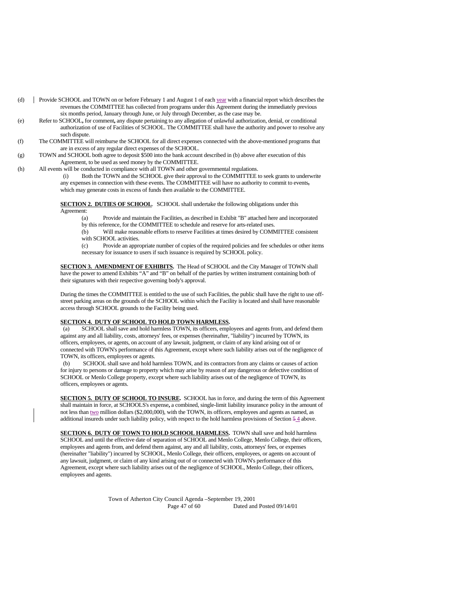- (d) Provide SCHOOL and TOWN on or before February 1 and August 1 of each year with a financial report which describes the revenues the COMMITTEE has collected from programs under this Agreement during the immediately previous six months period, January through June, or July through December, as the case may be.
- (e) Refer to SCHOOL**,** for comment**,** any dispute pertaining to any allegation of unlawful authorization, denial, or conditional authorization of use of Facilities of SCHOOL. The COMMITTEE shall have the authority and power to resolve any such dispute.
- (f) The COMMITTEE will reimburse the SCHOOL for all direct expenses connected with the above-mentioned programs that are in excess of any regular direct expenses of the SCHOOL.
- (g) TOWN and SCHOOL both agree to deposit \$500 into the bank account described in (b) above after execution of this Agreement, to be used as seed money by the COMMITTEE.
- (h) All events will be conducted in compliance with all TOWN and other governmental regulations.
	- (i) Both the TOWN and the SCHOOL give their approval to the COMMITTEE to seek grants to underwrite any expenses in connection with these events. The COMMITTEE will have no authority to commit to events, which may generate costs in excess of funds then available to the COMMITTEE.

**SECTION 2. DUTIES OF SCHOOL.** SCHOOL shall undertake the following obligations under this Agreement:

- (a) Provide and maintain the Facilities, as described in Exhibit "B" attached here and incorporated by this reference, for the COMMITTEE to schedule and reserve for arts-related uses.
- (b) Will make reasonable efforts to reserve Facilities at times desired by COMMITTEE consistent with SCHOOL activities.
- (c) Provide an appropriate number of copies of the required policies and fee schedules or other items necessary for issuance to users if such issuance is required by SCHOOL policy.

**SECTION 3. AMENDMENT OF EXHIBITS.** The Head of SCHOOL and the City Manager of TOWN shall have the power to amend Exhibits "A" and "B" on behalf of the parties by written instrument containing both of their signatures with their respective governing body's approval.

During the times the COMMITTEE is entitled to the use of such Facilities, the public shall have the right to use offstreet parking areas on the grounds of the SCHOOL within which the Facility is located and shall have reasonable access through SCHOOL grounds to the Facility being used.

#### **SECTION 4. DUTY OF SCHOOL TO HOLD TOWN HARMLESS.**

 (a) SCHOOL shall save and hold harmless TOWN, its officers, employees and agents from, and defend them against any and all liability, costs, attorneys' fees, or expenses (hereinafter, "liability") incurred by TOWN, its officers, employees, or agents, on account of any lawsuit, judgment, or claim of any kind arising out of or connected with TOWN's performance of this Agreement, except where such liability arises out of the negligence of TOWN, its officers, employees or agents.

SCHOOL shall save and hold harmless TOWN, and its contractors from any claims or causes of action for injury to persons or damage to property which may arise by reason of any dangerous or defective condition of SCHOOL or Menlo College property, except where such liability arises out of the negligence of TOWN, its officers, employees or agents.

**SECTION 5. DUTY OF SCHOOL TO INSURE.** SCHOOL has in force, and during the term of this Agreement shall maintain in force, at SCHOOLS's expense**,** a combined, single-limit liability insurance policy in the amount of not less than two million dollars (\$2,000,000), with the TOWN, its officers, employees and agents as named, as additional insureds under such liability policy, with respect to the hold harmless provisions of Section 5 4 above.

**SECTION 6. DUTY OF TOWN TO HOLD SCHOOL HARMLESS.** TOWN shall save and hold harmless SCHOOL and until the effective date of separation of SCHOOL and Menlo College, Menlo College, their officers, employees and agents from, and defend them against, any and all liability, costs, attorneys' fees, or expenses (hereinafter "liability") incurred by SCHOOL, Menlo College, their officers, employees, or agents on account of any lawsuit, judgment, or claim of any kind arising out of or connected with TOWN's performance of this Agreement, except where such liability arises out of the negligence of SCHOOL, Menlo College, their officers, employees and agents.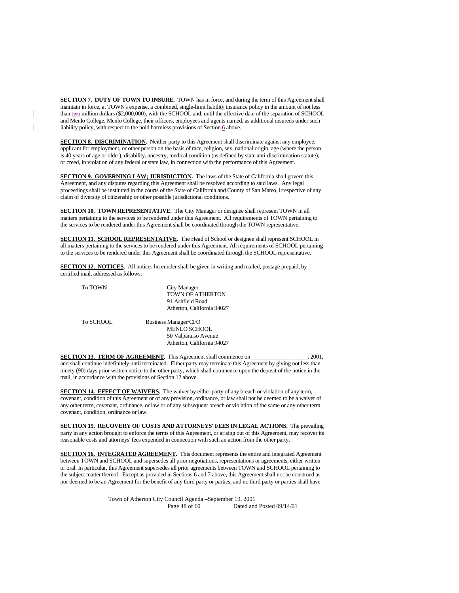**SECTION 7. DUTY OF TOWN TO INSURE.** TOWN has in force, and during the term of this Agreement shall maintain in force, at TOWN's expense, a combined, single-limit liability insurance policy in the amount of not less than two million dollars (\$2,000,000), with the SCHOOL and, until the effective date of the separation of SCHOOL and Menlo College, Menlo College, their officers, employees and agents named, as additional insureds under such liability policy, with respect to the hold harmless provisions of Section  $6$  above.

**SECTION 8. DISCRIMINATION.** Neither party to this Agreement shall discriminate against any employee, applicant for employment, or other person on the basis of race, religion, sex, national origin, age (where the person is 40 years of age or older), disability, ancestry, medical condition (as defined by state anti-discrimination statute), or creed, in violation of any federal or state law, in connection with the performance of this Agreement.

**SECTION 9. GOVERNING LAW; JURISDICTION.** The laws of the State of California shall govern this Agreement, and any disputes regarding this Agreement shall be resolved according to said laws. Any legal proceedings shall be instituted in the courts of the State of California and County of San Mateo, irrespective of any claim of diversity of citizenship or other possible jurisdictional conditions.

**SECTION 10. TOWN REPRESENTATIVE.** The City Manager or designee shall represent TOWN in all matters pertaining to the services to be rendered under this Agreement. All requirements of TOWN pertaining to the services to be rendered under this Agreement shall be coordinated through the TOWN representative.

**SECTION 11. SCHOOL REPRESENTATIVE.** The Head of School or designee shall represent SCHOOL in all matters pertaining to the services to be rendered under this Agreement. All requirements of SCHOOL pertaining to the services to be rendered under this Agreement shall be coordinated through the SCHOOL representative.

**SECTION 12. NOTICES.** All notices hereunder shall be given in writing and mailed, postage prepaid, by certified mail, addressed as follows:

| <b>To TOWN</b> | City Manager<br><b>TOWN OF ATHERTON</b><br>91 Ashfield Road |
|----------------|-------------------------------------------------------------|
|                | Atherton, California 94027                                  |
| To SCHOOL      | <b>Business Manager/CFO</b>                                 |
|                | <b>MENLO SCHOOL</b>                                         |
|                | 50 Valparaiso Avenue                                        |
|                | Atherton, California 94027                                  |

**SECTION 13. TERM OF AGREEMENT.** This Agreement shall commence on \_\_\_\_\_\_\_\_\_\_\_\_\_\_\_\_, 2001, and shall continue indefinitely until terminated. Either party may terminate this Agreement by giving not less than ninety (90) days prior written notice to the other party, which shall commence upon the deposit of the notice in the mail, in accordance with the provisions of Section 12 above.

**SECTION 14. EFFECT OF WAIVERS.** The waiver by either party of any breach or violation of any term, covenant, condition of this Agreement or of any provision, ordinance, or law shall not be deemed to be a waiver of any other term, covenant, ordinance, or law or of any subsequent breach or violation of the same or any other term, covenant, condition, ordinance or law.

**SECTION 15. RECOVERY OF COSTS AND ATTORNEYS' FEES IN LEGAL ACTIONS.** The prevailing party in any action brought to enforce the terms of this Agreement, or arising out of this Agreement, may recover its reasonable costs and attorneys' fees expended in connection with such an action from the other party.

**SECTION 16. INTEGRATED AGREEMENT.** This document represents the entire and integrated Agreement between TOWN and SCHOOL and supersedes all prior negotiations, representations or agreements, either written or oral. In particular, this Agreement supersedes all prior agreements between TOWN and SCHOOL pertaining to the subject matter thereof. Except as provided in Sections 6 and 7 above, this Agreement shall not be construed as nor deemed to be an Agreement for the benefit of any third party or parties, and no third party or parties shall have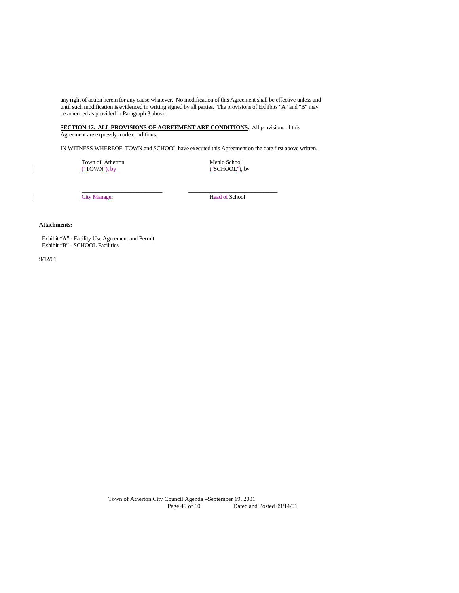any right of action herein for any cause whatever. No modification of this Agreement shall be effective unless and until such modification is evidenced in writing signed by all parties. The provisions of Exhibits "A" and "B" may be amended as provided in Paragraph 3 above.

**SECTION 17. ALL PROVISIONS OF AGREEMENT ARE CONDITIONS.** All provisions of this Agreement are expressly made conditions.

 $\frac{1}{2}$  ,  $\frac{1}{2}$  ,  $\frac{1}{2}$  ,  $\frac{1}{2}$  ,  $\frac{1}{2}$  ,  $\frac{1}{2}$  ,  $\frac{1}{2}$  ,  $\frac{1}{2}$  ,  $\frac{1}{2}$  ,  $\frac{1}{2}$  ,  $\frac{1}{2}$  ,  $\frac{1}{2}$  ,  $\frac{1}{2}$  ,  $\frac{1}{2}$  ,  $\frac{1}{2}$  ,  $\frac{1}{2}$  ,  $\frac{1}{2}$  ,  $\frac{1}{2}$  ,  $\frac{1$ 

IN WITNESS WHEREOF, TOWN and SCHOOL have executed this Agreement on the date first above written.

Town of Atherton Menlo School

("TOWN"), by ("SCHOOL"), by

City Manager Head of School

#### **Attachments:**

 Exhibit "A" - Facility Use Agreement and Permit Exhibit "B" - SCHOOL Facilities

9/12/01

 $\mathbf{I}$ 

 $\mathsf{l}$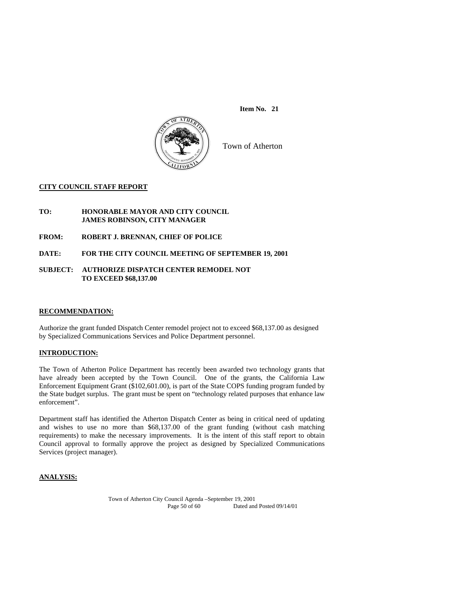

Town of Atherton

#### **CITY COUNCIL STAFF REPORT**

#### **TO: HONORABLE MAYOR AND CITY COUNCIL JAMES ROBINSON, CITY MANAGER**

**FROM: ROBERT J. BRENNAN, CHIEF OF POLICE** 

**DATE: FOR THE CITY COUNCIL MEETING OF SEPTEMBER 19, 2001** 

#### **SUBJECT: AUTHORIZE DISPATCH CENTER REMODEL NOT TO EXCEED \$68,137.00**

#### **RECOMMENDATION:**

Authorize the grant funded Dispatch Center remodel project not to exceed \$68,137.00 as designed by Specialized Communications Services and Police Department personnel.

#### **INTRODUCTION:**

The Town of Atherton Police Department has recently been awarded two technology grants that have already been accepted by the Town Council. One of the grants, the California Law Enforcement Equipment Grant (\$102,601.00), is part of the State COPS funding program funded by the State budget surplus. The grant must be spent on "technology related purposes that enhance law enforcement".

Department staff has identified the Atherton Dispatch Center as being in critical need of updating and wishes to use no more than \$68,137.00 of the grant funding (without cash matching requirements) to make the necessary improvements. It is the intent of this staff report to obtain Council approval to formally approve the project as designed by Specialized Communications Services (project manager).

# **ANALYSIS:**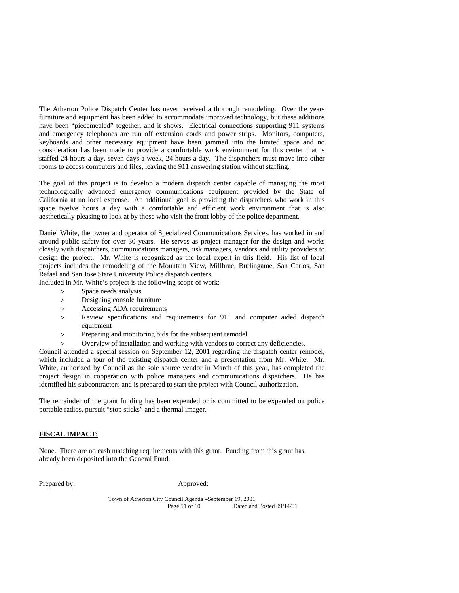The Atherton Police Dispatch Center has never received a thorough remodeling. Over the years furniture and equipment has been added to accommodate improved technology, but these additions have been "piecemealed" together, and it shows. Electrical connections supporting 911 systems and emergency telephones are run off extension cords and power strips. Monitors, computers, keyboards and other necessary equipment have been jammed into the limited space and no consideration has been made to provide a comfortable work environment for this center that is staffed 24 hours a day, seven days a week, 24 hours a day. The dispatchers must move into other rooms to access computers and files, leaving the 911 answering station without staffing.

The goal of this project is to develop a modern dispatch center capable of managing the most technologically advanced emergency communications equipment provided by the State of California at no local expense. An additional goal is providing the dispatchers who work in this space twelve hours a day with a comfortable and efficient work environment that is also aesthetically pleasing to look at by those who visit the front lobby of the police department.

Daniel White, the owner and operator of Specialized Communications Services, has worked in and around public safety for over 30 years. He serves as project manager for the design and works closely with dispatchers, communications managers, risk managers, vendors and utility providers to design the project. Mr. White is recognized as the local expert in this field. His list of local projects includes the remodeling of the Mountain View, Millbrae, Burlingame, San Carlos, San Rafael and San Jose State University Police dispatch centers.

Included in Mr. White's project is the following scope of work:

- > Space needs analysis
- Designing console furniture
- Accessing ADA requirements
- Review specifications and requirements for 911 and computer aided dispatch equipment
- Preparing and monitoring bids for the subsequent remodel
- Overview of installation and working with vendors to correct any deficiencies.

Council attended a special session on September 12, 2001 regarding the dispatch center remodel, which included a tour of the existing dispatch center and a presentation from Mr. White. Mr. White, authorized by Council as the sole source vendor in March of this year, has completed the project design in cooperation with police managers and communications dispatchers. He has identified his subcontractors and is prepared to start the project with Council authorization.

The remainder of the grant funding has been expended or is committed to be expended on police portable radios, pursuit "stop sticks" and a thermal imager.

#### **FISCAL IMPACT:**

None. There are no cash matching requirements with this grant. Funding from this grant has already been deposited into the General Fund.

Prepared by: Approved: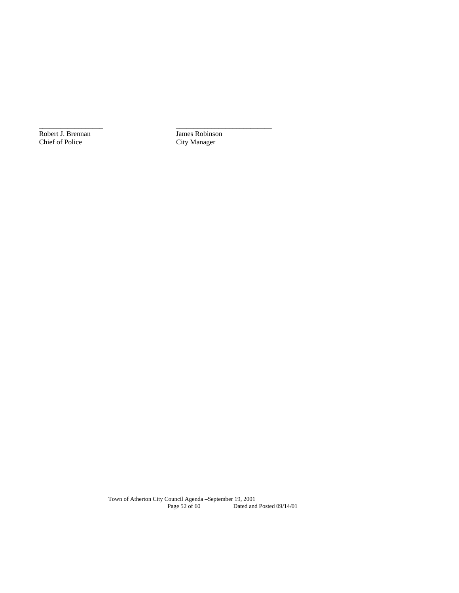Robert J. Brennan<br>
Chief of Police<br>
City Manager

City Manager

\_\_\_\_\_\_\_\_\_\_\_\_\_\_\_\_\_\_\_\_\_\_\_\_\_\_\_\_\_\_\_\_\_\_\_\_\_\_\_\_\_\_\_\_\_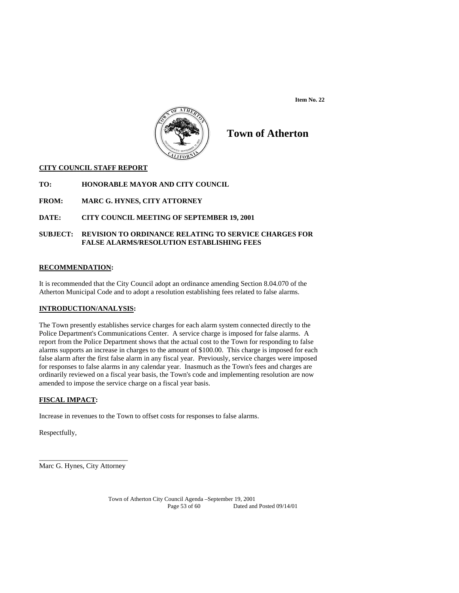

# **Town of Atherton**

#### **CITY COUNCIL STAFF REPORT**

**TO: HONORABLE MAYOR AND CITY COUNCIL** 

**FROM: MARC G. HYNES, CITY ATTORNEY** 

**DATE: CITY COUNCIL MEETING OF SEPTEMBER 19, 2001** 

# **SUBJECT: REVISION TO ORDINANCE RELATING TO SERVICE CHARGES FOR FALSE ALARMS/RESOLUTION ESTABLISHING FEES**

#### **RECOMMENDATION:**

It is recommended that the City Council adopt an ordinance amending Section 8.04.070 of the Atherton Municipal Code and to adopt a resolution establishing fees related to false alarms.

## **INTRODUCTION/ANALYSIS:**

The Town presently establishes service charges for each alarm system connected directly to the Police Department's Communications Center. A service charge is imposed for false alarms. A report from the Police Department shows that the actual cost to the Town for responding to false alarms supports an increase in charges to the amount of \$100.00. This charge is imposed for each false alarm after the first false alarm in any fiscal year. Previously, service charges were imposed for responses to false alarms in any calendar year. Inasmuch as the Town's fees and charges are ordinarily reviewed on a fiscal year basis, the Town's code and implementing resolution are now amended to impose the service charge on a fiscal year basis.

# **FISCAL IMPACT:**

Increase in revenues to the Town to offset costs for responses to false alarms.

Respectfully,

\_\_\_\_\_\_\_\_\_\_\_\_\_\_\_\_\_\_\_\_\_\_\_\_\_ Marc G. Hynes, City Attorney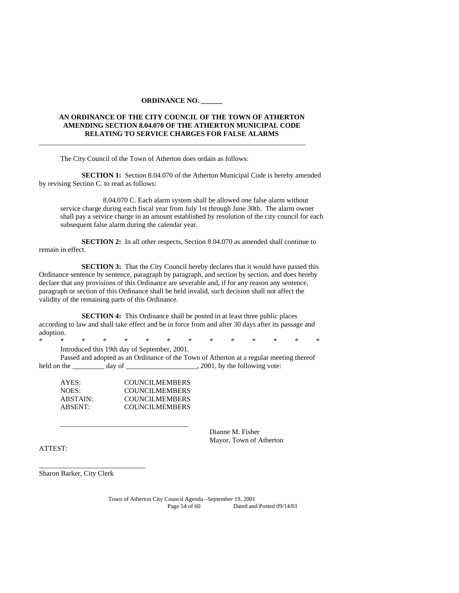#### **ORDINANCE NO. \_\_\_\_\_\_**

 $\overline{\phantom{a}}$  , and the set of the set of the set of the set of the set of the set of the set of the set of the set of the set of the set of the set of the set of the set of the set of the set of the set of the set of the s

# **AN ORDINANCE OF THE CITY COUNCIL OF THE TOWN OF ATHERTON AMENDING SECTION 8.04.070 OF THE ATHERTON MUNICIPAL CODE RELATING TO SERVICE CHARGES FOR FALSE ALARMS**

The City Council of the Town of Atherton does ordain as follows:

**SECTION 1:** Section 8.04.070 of the Atherton Municipal Code is hereby amended by revising Section C. to read as follows:

 8.04.070 C. Each alarm system shall be allowed one false alarm without service charge during each fiscal year from July 1st through June 30th. The alarm owner shall pay a service charge in an amount established by resolution of the city council for each subsequent false alarm during the calendar year.

**SECTION 2:** In all other respects, Section 8.04.070 as amended shall continue to remain in effect.

**SECTION 3:** That the City Council hereby declares that it would have passed this Ordinance sentence by sentence, paragraph by paragraph, and section by section, and does hereby declare that any provisions of this Ordinance are severable and, if for any reason any sentence, paragraph or section of this Ordinance shall be held invalid, such decision shall not affect the validity of the remaining parts of this Ordinance.

**SECTION 4:** This Ordinance shall be posted in at least three public places according to law and shall take effect and be in force from and after 30 days after its passage and adoption.

\* \* \* \* \* \* \* \* \* \* \* \* \* \* Introduced this 19th day of September, 2001.

 Passed and adopted as an Ordinance of the Town of Atherton at a regular meeting thereof held on the \_\_\_\_\_\_\_\_ day of \_\_\_\_\_\_\_\_\_\_\_\_\_\_\_\_\_\_\_\_\_\_\_\_, 2001, by the following vote:

| AYES:    | COUNCILMEMBERS        |
|----------|-----------------------|
| NOES:    | <b>COUNCILMEMBERS</b> |
| ABSTAIN: | <b>COUNCILMEMBERS</b> |
| ABSENT:  | <b>COUNCILMEMBERS</b> |

\_\_\_\_\_\_\_\_\_\_\_\_\_\_\_\_\_\_\_\_\_\_\_\_\_\_\_\_\_\_\_\_\_\_\_\_

 Dianne M. Fisher Mayor, Town of Atherton

ATTEST:

Sharon Barker, City Clerk

\_\_\_\_\_\_\_\_\_\_\_\_\_\_\_\_\_\_\_\_\_\_\_\_\_\_\_\_\_\_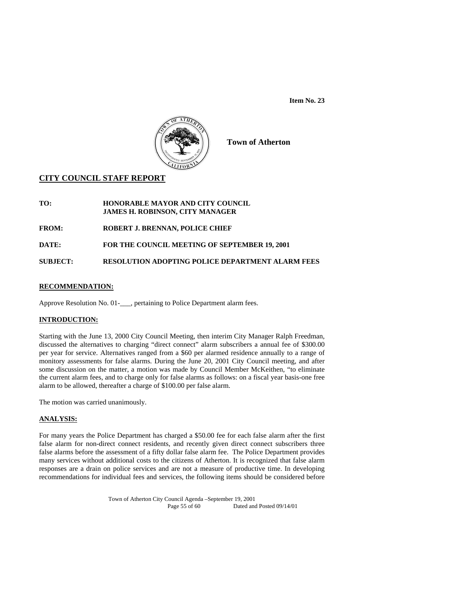

**Town of Atherton** 

# **CITY COUNCIL STAFF REPORT**

**TO: HONORABLE MAYOR AND CITY COUNCIL JAMES H. ROBINSON, CITY MANAGER** 

**FROM: ROBERT J. BRENNAN, POLICE CHIEF** 

**DATE: FOR THE COUNCIL MEETING OF SEPTEMBER 19, 2001** 

**SUBJECT: RESOLUTION ADOPTING POLICE DEPARTMENT ALARM FEES** 

# **RECOMMENDATION:**

Approve Resolution No. 01-\_\_\_, pertaining to Police Department alarm fees.

# **INTRODUCTION:**

Starting with the June 13, 2000 City Council Meeting, then interim City Manager Ralph Freedman, discussed the alternatives to charging "direct connect" alarm subscribers a annual fee of \$300.00 per year for service. Alternatives ranged from a \$60 per alarmed residence annually to a range of monitory assessments for false alarms. During the June 20, 2001 City Council meeting, and after some discussion on the matter, a motion was made by Council Member McKeithen, "to eliminate the current alarm fees, and to charge only for false alarms as follows: on a fiscal year basis-one free alarm to be allowed, thereafter a charge of \$100.00 per false alarm.

The motion was carried unanimously.

#### **ANALYSIS:**

For many years the Police Department has charged a \$50.00 fee for each false alarm after the first false alarm for non-direct connect residents, and recently given direct connect subscribers three false alarms before the assessment of a fifty dollar false alarm fee. The Police Department provides many services without additional costs to the citizens of Atherton. It is recognized that false alarm responses are a drain on police services and are not a measure of productive time. In developing recommendations for individual fees and services, the following items should be considered before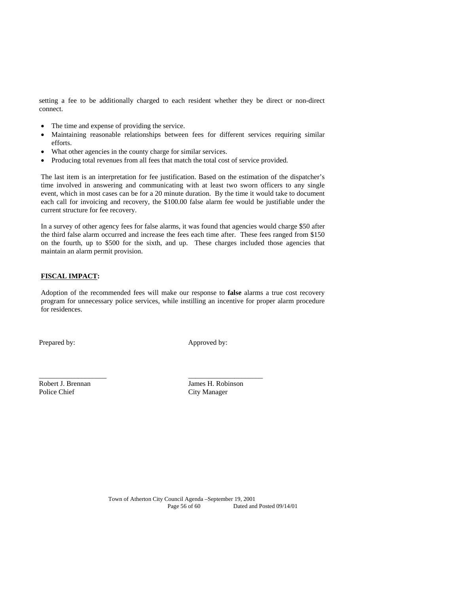setting a fee to be additionally charged to each resident whether they be direct or non-direct connect.

- The time and expense of providing the service.
- Maintaining reasonable relationships between fees for different services requiring similar efforts.
- What other agencies in the county charge for similar services.
- Producing total revenues from all fees that match the total cost of service provided.

The last item is an interpretation for fee justification. Based on the estimation of the dispatcher's time involved in answering and communicating with at least two sworn officers to any single event, which in most cases can be for a 20 minute duration. By the time it would take to document each call for invoicing and recovery, the \$100.00 false alarm fee would be justifiable under the current structure for fee recovery.

In a survey of other agency fees for false alarms, it was found that agencies would charge \$50 after the third false alarm occurred and increase the fees each time after. These fees ranged from \$150 on the fourth, up to \$500 for the sixth, and up. These charges included those agencies that maintain an alarm permit provision.

#### **FISCAL IMPACT:**

Adoption of the recommended fees will make our response to **false** alarms a true cost recovery program for unnecessary police services, while instilling an incentive for proper alarm procedure for residences.

\_\_\_\_\_\_\_\_\_\_\_\_\_\_\_\_\_\_\_ \_\_\_\_\_\_\_\_\_\_\_\_\_\_\_\_\_\_\_\_\_

Prepared by: Approved by:

Robert J. Brennan Maria James H. Robinson<br>Police Chief City Manager

**City Manager**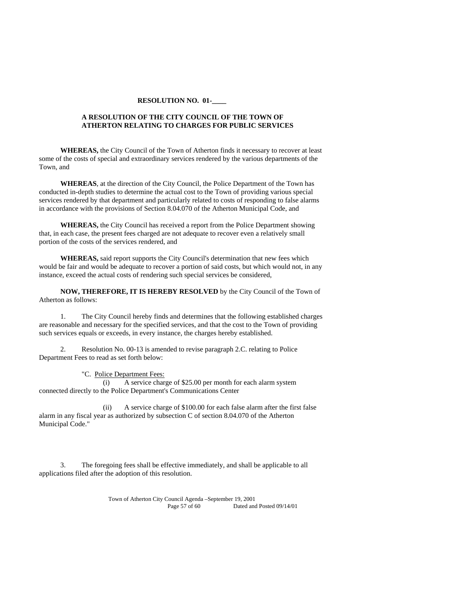#### **RESOLUTION NO. 01-\_\_\_\_**

## **A RESOLUTION OF THE CITY COUNCIL OF THE TOWN OF ATHERTON RELATING TO CHARGES FOR PUBLIC SERVICES**

 **WHEREAS,** the City Council of the Town of Atherton finds it necessary to recover at least some of the costs of special and extraordinary services rendered by the various departments of the Town, and

**WHEREAS**, at the direction of the City Council, the Police Department of the Town has conducted in-depth studies to determine the actual cost to the Town of providing various special services rendered by that department and particularly related to costs of responding to false alarms in accordance with the provisions of Section 8.04.070 of the Atherton Municipal Code, and

**WHEREAS,** the City Council has received a report from the Police Department showing that, in each case, the present fees charged are not adequate to recover even a relatively small portion of the costs of the services rendered, and

 **WHEREAS,** said report supports the City Council's determination that new fees which would be fair and would be adequate to recover a portion of said costs, but which would not, in any instance, exceed the actual costs of rendering such special services be considered,

**NOW, THEREFORE, IT IS HEREBY RESOLVED** by the City Council of the Town of Atherton as follows:

 1. The City Council hereby finds and determines that the following established charges are reasonable and necessary for the specified services, and that the cost to the Town of providing such services equals or exceeds, in every instance, the charges hereby established.

 2. Resolution No. 00-13 is amended to revise paragraph 2.C. relating to Police Department Fees to read as set forth below:

"C. Police Department Fees:

 (i) A service charge of \$25.00 per month for each alarm system connected directly to the Police Department's Communications Center

 (ii) A service charge of \$100.00 for each false alarm after the first false alarm in any fiscal year as authorized by subsection C of section 8.04.070 of the Atherton Municipal Code."

 3. The foregoing fees shall be effective immediately, and shall be applicable to all applications filed after the adoption of this resolution.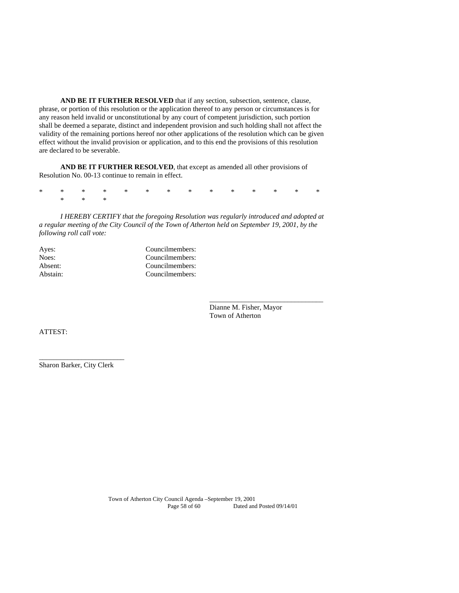**AND BE IT FURTHER RESOLVED** that if any section, subsection, sentence, clause, phrase, or portion of this resolution or the application thereof to any person or circumstances is for any reason held invalid or unconstitutional by any court of competent jurisdiction, such portion shall be deemed a separate, distinct and independent provision and such holding shall not affect the validity of the remaining portions hereof nor other applications of the resolution which can be given effect without the invalid provision or application, and to this end the provisions of this resolution are declared to be severable.

**AND BE IT FURTHER RESOLVED**, that except as amended all other provisions of Resolution No. 00-13 continue to remain in effect.

\* \* \* \* \* \* \* \* \* \* \* \* \* \* \* \* \*

*I HEREBY CERTIFY that the foregoing Resolution was regularly introduced and adopted at a regular meeting of the City Council of the Town of Atherton held on September 19, 2001, by the following roll call vote:* 

 $\overline{\phantom{a}}$  , and the contract of the contract of the contract of the contract of the contract of the contract of the contract of the contract of the contract of the contract of the contract of the contract of the contrac

| Ayes:    | Councilmembers: |
|----------|-----------------|
| Noes:    | Councilmembers: |
| Absent:  | Councilmembers: |
| Abstain: | Councilmembers: |

 Dianne M. Fisher, Mayor Town of Atherton

ATTEST:

Sharon Barker, City Clerk

\_\_\_\_\_\_\_\_\_\_\_\_\_\_\_\_\_\_\_\_\_\_\_\_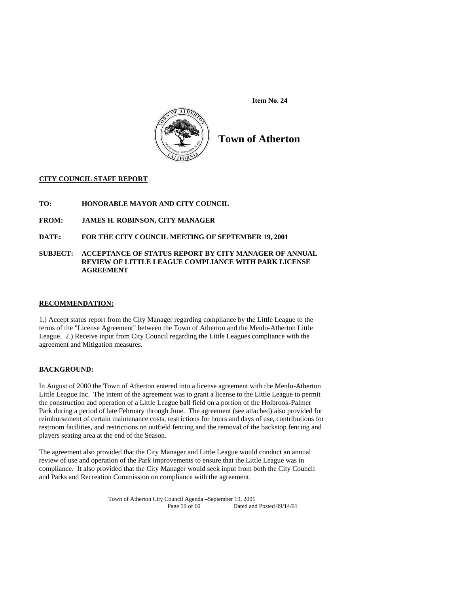

**Town of Atherton** 

# **CITY COUNCIL STAFF REPORT**

**TO: HONORABLE MAYOR AND CITY COUNCIL** 

**FROM: JAMES H. ROBINSON, CITY MANAGER** 

## **DATE: FOR THE CITY COUNCIL MEETING OF SEPTEMBER 19, 2001**

#### **SUBJECT: ACCEPTANCE OF STATUS REPORT BY CITY MANAGER OF ANNUAL REVIEW OF LITTLE LEAGUE COMPLIANCE WITH PARK LICENSE AGREEMENT**

#### **RECOMMENDATION:**

1.) Accept status report from the City Manager regarding compliance by the Little League to the terms of the "License Agreement" between the Town of Atherton and the Menlo-Atherton Little League. 2.) Receive input from City Council regarding the Little Leagues compliance with the agreement and Mitigation measures.

#### **BACKGROUND:**

In August of 2000 the Town of Atherton entered into a license agreement with the Menlo-Atherton Little League Inc. The intent of the agreement was to grant a license to the Little League to permit the construction and operation of a Little League ball field on a portion of the Holbrook-Palmer Park during a period of late February through June. The agreement (see attached) also provided for reimbursement of certain maintenance costs, restrictions for hours and days of use, contributions for restroom facilities, and restrictions on outfield fencing and the removal of the backstop fencing and players seating area at the end of the Season.

The agreement also provided that the City Manager and Little League would conduct an annual review of use and operation of the Park improvements to ensure that the Little League was in compliance. It also provided that the City Manager would seek input from both the City Council and Parks and Recreation Commission on compliance with the agreement.